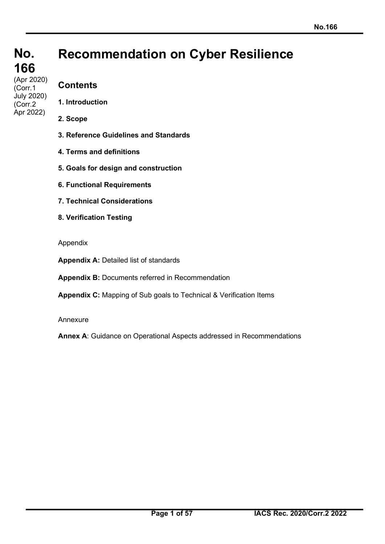(Corr.1 July 2020) (Corr.2 Apr 2022)

# **Recommendation on Cyber Resilience**

## **Contents**

- **1. Introduction**
- **2. Scope**
- **3. Reference Guidelines and Standards**
- **4. Terms and definitions**
- **5. Goals for design and construction**
- **6. Functional Requirements**
- **7. Technical Considerations**
- **8. Verification Testing**
- Appendix

**Appendix A:** Detailed list of standards

**Appendix B:** Documents referred in Recommendation

**Appendix C:** Mapping of Sub goals to Technical & Verification Items

Annexure

**Annex A**: Guidance on Operational Aspects addressed in Recommendations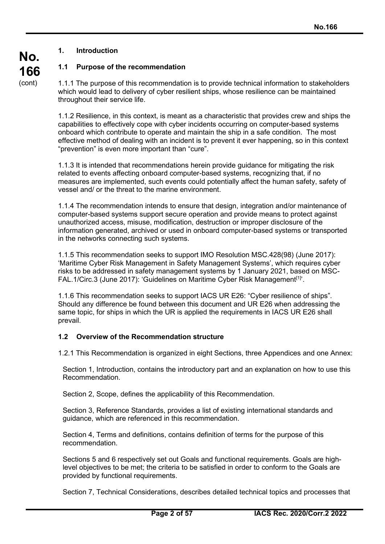## **1. Introduction**

## **1.1 Purpose of the recommendation**

1.1.1 The purpose of this recommendation is to provide technical information to stakeholders which would lead to delivery of cyber resilient ships, whose resilience can be maintained throughout their service life.

1.1.2 Resilience, in this context, is meant as a characteristic that provides crew and ships the capabilities to effectively cope with cyber incidents occurring on computer-based systems onboard which contribute to operate and maintain the ship in a safe condition. The most effective method of dealing with an incident is to prevent it ever happening, so in this context "prevention" is even more important than "cure".

1.1.3 It is intended that recommendations herein provide guidance for mitigating the risk related to events affecting onboard computer-based systems, recognizing that, if no measures are implemented, such events could potentially affect the human safety, safety of vessel and/ or the threat to the marine environment.

1.1.4 The recommendation intends to ensure that design, integration and/or maintenance of computer-based systems support secure operation and provide means to protect against unauthorized access, misuse, modification, destruction or improper disclosure of the information generated, archived or used in onboard computer-based systems or transported in the networks connecting such systems.

1.1.5 This recommendation seeks to support IMO Resolution MSC.428(98) (June 2017): 'Maritime Cyber Risk Management in Safety Management Systems', which requires cyber risks to be addressed in safety management systems by 1 January 2021, based on MSC-FAL.1/Circ.3 (June 2017): 'Guidelines on Maritime Cyber Risk Management<sup>[1]'</sup>.

1.1.6 This recommendation seeks to support IACS UR E26: "Cyber resilience of ships". Should any difference be found between this document and UR E26 when addressing the same topic, for ships in which the UR is applied the requirements in IACS UR E26 shall prevail.

#### **1.2 Overview of the Recommendation structure**

1.2.1 This Recommendation is organized in eight Sections, three Appendices and one Annex:

Section 1, Introduction, contains the introductory part and an explanation on how to use this Recommendation.

Section 2, Scope, defines the applicability of this Recommendation.

Section 3, Reference Standards, provides a list of existing international standards and guidance, which are referenced in this recommendation.

Section 4, Terms and definitions, contains definition of terms for the purpose of this recommendation.

Sections 5 and 6 respectively set out Goals and functional requirements. Goals are highlevel objectives to be met; the criteria to be satisfied in order to conform to the Goals are provided by functional requirements.

Section 7, Technical Considerations, describes detailed technical topics and processes that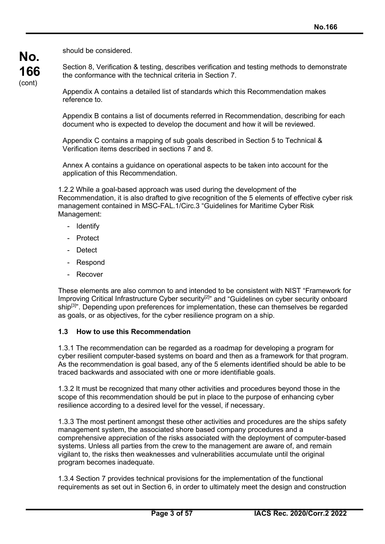should be considered.

**No.**

**166** (cont)

Section 8, Verification & testing, describes verification and testing methods to demonstrate the conformance with the technical criteria in Section 7.

Appendix A contains a detailed list of standards which this Recommendation makes reference to.

Appendix B contains a list of documents referred in Recommendation, describing for each document who is expected to develop the document and how it will be reviewed.

Appendix C contains a mapping of sub goals described in Section 5 to Technical & Verification items described in sections 7 and 8.

Annex A contains a guidance on operational aspects to be taken into account for the application of this Recommendation.

1.2.2 While a goal-based approach was used during the development of the Recommendation, it is also drafted to give recognition of the 5 elements of effective cyber risk management contained in MSC-FAL.1/Circ.3 "Guidelines for Maritime Cyber Risk Management:

- Identify
- Protect
- Detect
- Respond
- Recover

These elements are also common to and intended to be consistent with NIST "Framework for Improving Critical Infrastructure Cyber security<sup>[2]"</sup> and "Guidelines on cyber security onboard ship<sup>[3]</sup>". Depending upon preferences for implementation, these can themselves be regarded as goals, or as objectives, for the cyber resilience program on a ship.

#### **1.3 How to use this Recommendation**

1.3.1 The recommendation can be regarded as a roadmap for developing a program for cyber resilient computer-based systems on board and then as a framework for that program. As the recommendation is goal based, any of the 5 elements identified should be able to be traced backwards and associated with one or more identifiable goals.

1.3.2 It must be recognized that many other activities and procedures beyond those in the scope of this recommendation should be put in place to the purpose of enhancing cyber resilience according to a desired level for the vessel, if necessary.

1.3.3 The most pertinent amongst these other activities and procedures are the ships safety management system, the associated shore based company procedures and a comprehensive appreciation of the risks associated with the deployment of computer-based systems. Unless all parties from the crew to the management are aware of, and remain vigilant to, the risks then weaknesses and vulnerabilities accumulate until the original program becomes inadequate.

1.3.4 Section 7 provides technical provisions for the implementation of the functional requirements as set out in Section 6, in order to ultimately meet the design and construction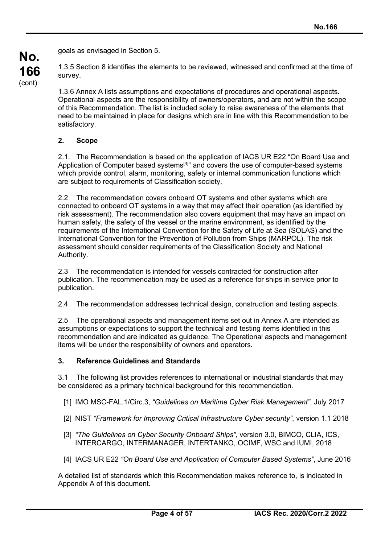goals as envisaged in Section 5.

1.3.5 Section 8 identifies the elements to be reviewed, witnessed and confirmed at the time of survey.

1.3.6 Annex A lists assumptions and expectations of procedures and operational aspects. Operational aspects are the responsibility of owners/operators, and are not within the scope of this Recommendation. The list is included solely to raise awareness of the elements that need to be maintained in place for designs which are in line with this Recommendation to be satisfactory.

## **2. Scope**

**No.**

**166** (cont)

> 2.1. The Recommendation is based on the application of IACS UR E22 "On Board Use and Application of Computer based systems<sup>[4]"</sup> and covers the use of computer-based systems which provide control, alarm, monitoring, safety or internal communication functions which are subject to requirements of Classification society.

2.2 The recommendation covers onboard OT systems and other systems which are connected to onboard OT systems in a way that may affect their operation (as identified by risk assessment). The recommendation also covers equipment that may have an impact on human safety, the safety of the vessel or the marine environment, as identified by the requirements of the International Convention for the Safety of Life at Sea (SOLAS) and the International Convention for the Prevention of Pollution from Ships (MARPOL). The risk assessment should consider requirements of the Classification Society and National Authority.

2.3 The recommendation is intended for vessels contracted for construction after publication. The recommendation may be used as a reference for ships in service prior to publication.

2.4 The recommendation addresses technical design, construction and testing aspects.

2.5 The operational aspects and management items set out in Annex A are intended as assumptions or expectations to support the technical and testing items identified in this recommendation and are indicated as guidance. The Operational aspects and management items will be under the responsibility of owners and operators.

## **3. Reference Guidelines and Standards**

3.1 The following list provides references to international or industrial standards that may be considered as a primary technical background for this recommendation.

- [1] IMO MSC-FAL.1/Circ.3, *"Guidelines on Maritime Cyber Risk Management"*, July 2017
- [2] NIST *"Framework for Improving Critical Infrastructure Cyber security"*, version 1.1 2018
- [3] *"The Guidelines on Cyber Security Onboard Ships"*, version 3.0, BIMCO, CLIA, ICS, INTERCARGO, INTERMANAGER, INTERTANKO, OCIMF, WSC and IUMI, 2018
- [4] IACS UR E22 *"On Board Use and Application of Computer Based Systems"*, June 2016

A detailed list of standards which this Recommendation makes reference to, is indicated in Appendix A of this document.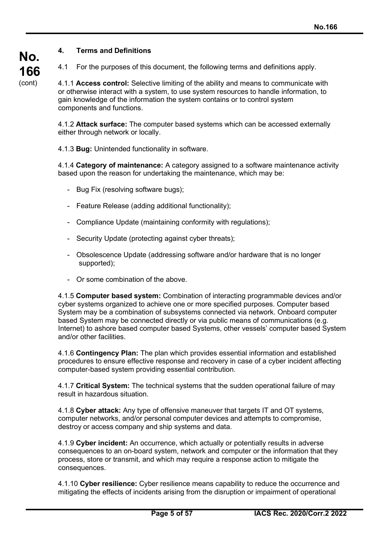## **4. Terms and Definitions**

**No.**

**166** (cont)

4.1 For the purposes of this document, the following terms and definitions apply.

4.1.1 **Access control:** Selective limiting of the ability and means to communicate with or otherwise interact with a system, to use system resources to handle information, to gain knowledge of the information the system contains or to control system components and functions.

4.1.2 **Attack surface:** The computer based systems which can be accessed externally either through network or locally.

4.1.3 **Bug:** Unintended functionality in software.

4.1.4 **Category of maintenance:** A category assigned to a software maintenance activity based upon the reason for undertaking the maintenance, which may be:

- Bug Fix (resolving software bugs);
- Feature Release (adding additional functionality);
- Compliance Update (maintaining conformity with regulations);
- Security Update (protecting against cyber threats);
- Obsolescence Update (addressing software and/or hardware that is no longer supported);
- Or some combination of the above.

4.1.5 **Computer based system:** Combination of interacting programmable devices and/or cyber systems organized to achieve one or more specified purposes. Computer based System may be a combination of subsystems connected via network. Onboard computer based System may be connected directly or via public means of communications (e.g. Internet) to ashore based computer based Systems, other vessels' computer based System and/or other facilities.

4.1.6 **Contingency Plan:** The plan which provides essential information and established procedures to ensure effective response and recovery in case of a cyber incident affecting computer-based system providing essential contribution.

4.1.7 **Critical System:** The technical systems that the sudden operational failure of may result in hazardous situation.

4.1.8 **Cyber attack:** Any type of offensive maneuver that targets IT and OT systems, computer networks, and/or personal computer devices and attempts to compromise, destroy or access company and ship systems and data.

4.1.9 **Cyber incident:** An occurrence, which actually or potentially results in adverse consequences to an on-board system, network and computer or the information that they process, store or transmit, and which may require a response action to mitigate the consequences.

4.1.10 **Cyber resilience:** Cyber resilience means capability to reduce the occurrence and mitigating the effects of incidents arising from the disruption or impairment of operational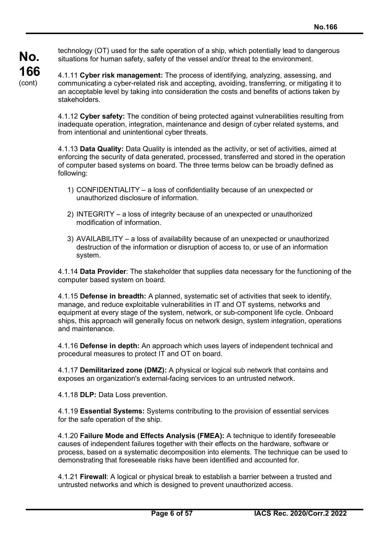**No. 166** (cont)

technology (OT) used for the safe operation of a ship, which potentially lead to dangerous situations for human safety, safety of the vessel and/or threat to the environment.

4.1.11 **Cyber risk management:** The process of identifying, analyzing, assessing, and communicating a cyber-related risk and accepting, avoiding, transferring, or mitigating it to an acceptable level by taking into consideration the costs and benefits of actions taken by stakeholders.

4.1.12 **Cyber safety:** The condition of being protected against vulnerabilities resulting from inadequate operation, integration, maintenance and design of cyber related systems, and from intentional and unintentional cyber threats.

4.1.13 **Data Quality:** Data Quality is intended as the activity, or set of activities, aimed at enforcing the security of data generated, processed, transferred and stored in the operation of computer based systems on board. The three terms below can be broadly defined as following:

- 1) CONFIDENTIALITY a loss of confidentiality because of an unexpected or unauthorized disclosure of information.
- 2) INTEGRITY a loss of integrity because of an unexpected or unauthorized modification of information.
- 3) AVAILABILITY a loss of availability because of an unexpected or unauthorized destruction of the information or disruption of access to, or use of an information system.

4.1.14 **Data Provider**: The stakeholder that supplies data necessary for the functioning of the computer based system on board.

4.1.15 **Defense in breadth:** A planned, systematic set of activities that seek to identify, manage, and reduce exploitable vulnerabilities in IT and OT systems, networks and equipment at every stage of the system, network, or sub-component life cycle. Onboard ships, this approach will generally focus on network design, system integration, operations and maintenance.

4.1.16 **Defense in depth:** An approach which uses layers of independent technical and procedural measures to protect IT and OT on board.

4.1.17 **Demilitarized zone (DMZ):** A physical or logical sub network that contains and exposes an organization's external-facing services to an untrusted network.

4.1.18 **DLP:** Data Loss prevention.

4.1.19 **Essential Systems:** Systems contributing to the provision of essential services for the safe operation of the ship.

4.1.20 **Failure Mode and Effects Analysis (FMEA):** A technique to identify foreseeable causes of independent failures together with their effects on the hardware, software or process, based on a systematic decomposition into elements. The technique can be used to demonstrating that foreseeable risks have been identified and accounted for.

4.1.21 **Firewall**: A logical or physical break to establish a barrier between a trusted and untrusted networks and which is designed to prevent unauthorized access.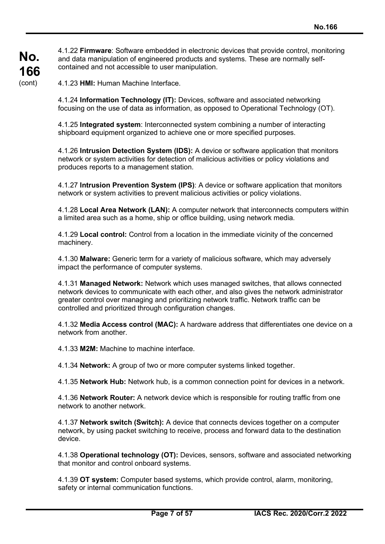4.1.22 **Firmware**: Software embedded in electronic devices that provide control, monitoring and data manipulation of engineered products and systems. These are normally selfcontained and not accessible to user manipulation.

4.1.23 **HMI:** Human Machine Interface.

4.1.24 **Information Technology (IT):** Devices, software and associated networking focusing on the use of data as information, as opposed to Operational Technology (OT).

4.1.25 **Integrated system**: Interconnected system combining a number of interacting shipboard equipment organized to achieve one or more specified purposes.

4.1.26 **Intrusion Detection System (IDS):** A device or software application that monitors network or system activities for detection of malicious activities or policy violations and produces reports to a management station.

4.1.27 **Intrusion Prevention System (IPS)**: A device or software application that monitors network or system activities to prevent malicious activities or policy violations.

4.1.28 **Local Area Network (LAN):** A computer network that interconnects computers within a limited area such as a home, ship or office building, using network media.

4.1.29 **Local control:** Control from a location in the immediate vicinity of the concerned machinery.

4.1.30 **Malware:** Generic term for a variety of malicious software, which may adversely impact the performance of computer systems.

4.1.31 **Managed Network:** Network which uses managed switches, that allows connected network devices to communicate with each other, and also gives the network administrator greater control over managing and prioritizing network traffic. Network traffic can be controlled and prioritized through configuration changes.

4.1.32 **Media Access control (MAC):** A hardware address that differentiates one device on a network from another.

4.1.33 **M2M:** Machine to machine interface.

4.1.34 **Network:** A group of two or more computer systems linked together.

4.1.35 **Network Hub:** Network hub, is a common connection point for devices in a network.

4.1.36 **Network Router:** A network device which is responsible for routing traffic from one network to another network.

4.1.37 **Network switch (Switch):** A device that connects devices together on a computer network, by using packet switching to receive, process and forward data to the destination device.

4.1.38 **Operational technology (OT):** Devices, sensors, software and associated networking that monitor and control onboard systems.

4.1.39 **OT system:** Computer based systems, which provide control, alarm, monitoring, safety or internal communication functions.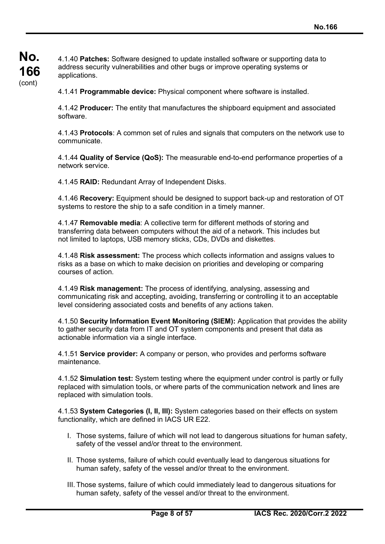**No. 166** (cont)

4.1.40 **Patches:** Software designed to update installed software or supporting data to address security vulnerabilities and other bugs or improve operating systems or applications.

4.1.41 **Programmable device:** Physical component where software is installed.

4.1.42 **Producer:** The entity that manufactures the shipboard equipment and associated software.

4.1.43 **Protocols**: A common set of rules and signals that computers on the network use to communicate.

4.1.44 **Quality of Service (QoS):** The measurable end-to-end performance properties of a network service.

4.1.45 **RAID:** Redundant Array of Independent Disks.

4.1.46 **Recovery:** Equipment should be designed to support back-up and restoration of OT systems to restore the ship to a safe condition in a timely manner.

4.1.47 **Removable media**: A collective term for different methods of storing and transferring data between computers without the aid of a network. This includes but not limited to laptops, USB memory sticks, CDs, DVDs and diskettes.

4.1.48 **Risk assessment:** The process which collects information and assigns values to risks as a base on which to make decision on priorities and developing or comparing courses of action.

4.1.49 **Risk management:** The process of identifying, analysing, assessing and communicating risk and accepting, avoiding, transferring or controlling it to an acceptable level considering associated costs and benefits of any actions taken.

4.1.50 **Security Information Event Monitoring (SIEM):** Application that provides the ability to gather security data from IT and OT system components and present that data as actionable information via a single interface.

4.1.51 **Service provider:** A company or person, who provides and performs software maintenance.

4.1.52 **Simulation test:** System testing where the equipment under control is partly or fully replaced with simulation tools, or where parts of the communication network and lines are replaced with simulation tools.

4.1.53 **System Categories (I, II, III):** System categories based on their effects on system functionality, which are defined in IACS UR E22.

- I. Those systems, failure of which will not lead to dangerous situations for human safety, safety of the vessel and/or threat to the environment.
- II. Those systems, failure of which could eventually lead to dangerous situations for human safety, safety of the vessel and/or threat to the environment.
- III. Those systems, failure of which could immediately lead to dangerous situations for human safety, safety of the vessel and/or threat to the environment.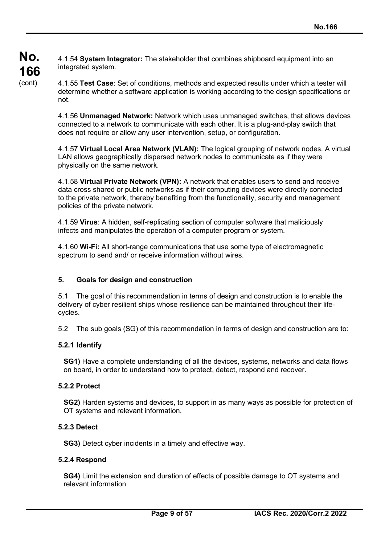4.1.54 **System Integrator:** The stakeholder that combines shipboard equipment into an integrated system.

4.1.56 **Unmanaged Network:** Network which uses unmanaged switches, that allows devices connected to a network to communicate with each other. It is a plug-and-play switch that does not require or allow any user intervention, setup, or configuration.

4.1.57 **Virtual Local Area Network (VLAN):** The logical grouping of network nodes. A virtual LAN allows geographically dispersed network nodes to communicate as if they were physically on the same network.

4.1.58 **Virtual Private Network (VPN):** A network that enables users to send and receive data cross shared or public networks as if their computing devices were directly connected to the private network, thereby benefiting from the functionality, security and management policies of the private network.

4.1.59 **Virus**: A hidden, self-replicating section of computer software that maliciously infects and manipulates the operation of a computer program or system.

4.1.60 **Wi-Fi:** All short-range communications that use some type of electromagnetic spectrum to send and/ or receive information without wires.

## **5. Goals for design and construction**

5.1 The goal of this recommendation in terms of design and construction is to enable the delivery of cyber resilient ships whose resilience can be maintained throughout their lifecycles.

5.2 The sub goals (SG) of this recommendation in terms of design and construction are to:

## **5.2.1 Identify**

**No.**

**166** (cont)

> **SG1)** Have a complete understanding of all the devices, systems, networks and data flows on board, in order to understand how to protect, detect, respond and recover.

## **5.2.2 Protect**

**SG2)** Harden systems and devices, to support in as many ways as possible for protection of OT systems and relevant information.

## **5.2.3 Detect**

**SG3)** Detect cyber incidents in a timely and effective way.

#### **5.2.4 Respond**

**SG4)** Limit the extension and duration of effects of possible damage to OT systems and relevant information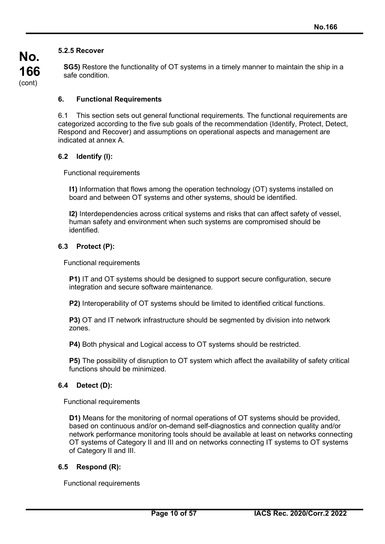## **5.2.5 Recover**

**No.**

**166** (cont)

**SG5)** Restore the functionality of OT systems in a timely manner to maintain the ship in a safe condition.

## **6. Functional Requirements**

6.1 This section sets out general functional requirements. The functional requirements are categorized according to the five sub goals of the recommendation (Identify, Protect, Detect, Respond and Recover) and assumptions on operational aspects and management are indicated at annex A.

#### **6.2 Identify (I):**

Functional requirements

**I1)** Information that flows among the operation technology (OT) systems installed on board and between OT systems and other systems, should be identified.

**I2)** Interdependencies across critical systems and risks that can affect safety of vessel, human safety and environment when such systems are compromised should be identified.

#### **6.3 Protect (P):**

Functional requirements

**P1)** IT and OT systems should be designed to support secure configuration, secure integration and secure software maintenance.

**P2)** Interoperability of OT systems should be limited to identified critical functions.

**P3)** OT and IT network infrastructure should be segmented by division into network zones.

**P4)** Both physical and Logical access to OT systems should be restricted.

**P5)** The possibility of disruption to OT system which affect the availability of safety critical functions should be minimized.

#### **6.4 Detect (D):**

Functional requirements

**D1)** Means for the monitoring of normal operations of OT systems should be provided, based on continuous and/or on-demand self-diagnostics and connection quality and/or network performance monitoring tools should be available at least on networks connecting OT systems of Category II and III and on networks connecting IT systems to OT systems of Category II and III.

#### **6.5 Respond (R):**

Functional requirements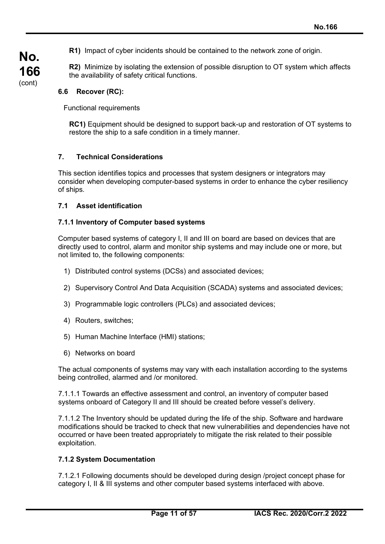**R1)** Impact of cyber incidents should be contained to the network zone of origin.

**R2)** Minimize by isolating the extension of possible disruption to OT system which affects the availability of safety critical functions.

## **6.6 Recover (RC):**

**No.**

**166** (cont)

Functional requirements

**RC1)** Equipment should be designed to support back-up and restoration of OT systems to restore the ship to a safe condition in a timely manner.

#### **7. Technical Considerations**

This section identifies topics and processes that system designers or integrators may consider when developing computer-based systems in order to enhance the cyber resiliency of ships.

#### **7.1 Asset identification**

#### **7.1.1 Inventory of Computer based systems**

Computer based systems of category I, II and III on board are based on devices that are directly used to control, alarm and monitor ship systems and may include one or more, but not limited to, the following components:

- 1) Distributed control systems (DCSs) and associated devices;
- 2) Supervisory Control And Data Acquisition (SCADA) systems and associated devices;
- 3) Programmable logic controllers (PLCs) and associated devices;
- 4) Routers, switches;
- 5) Human Machine Interface (HMI) stations;
- 6) Networks on board

The actual components of systems may vary with each installation according to the systems being controlled, alarmed and /or monitored.

7.1.1.1 Towards an effective assessment and control, an inventory of computer based systems onboard of Category II and III should be created before vessel's delivery.

7.1.1.2 The Inventory should be updated during the life of the ship. Software and hardware modifications should be tracked to check that new vulnerabilities and dependencies have not occurred or have been treated appropriately to mitigate the risk related to their possible exploitation.

#### **7.1.2 System Documentation**

7.1.2.1 Following documents should be developed during design /project concept phase for category I, II & III systems and other computer based systems interfaced with above.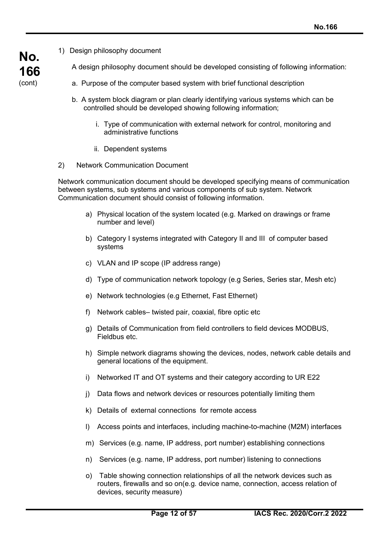1) Design philosophy document

**No.**

**166** (cont)

- A design philosophy document should be developed consisting of following information:
- a. Purpose of the computer based system with brief functional description
- b. A system block diagram or plan clearly identifying various systems which can be controlled should be developed showing following information;
	- i. Type of communication with external network for control, monitoring and administrative functions
	- ii. Dependent systems
- 2) Network Communication Document

Network communication document should be developed specifying means of communication between systems, sub systems and various components of sub system. Network Communication document should consist of following information.

- a) Physical location of the system located (e.g. Marked on drawings or frame number and level)
- b) Category I systems integrated with Category II and III of computer based systems
- c) VLAN and IP scope (IP address range)
- d) Type of communication network topology (e.g Series, Series star, Mesh etc)
- e) Network technologies (e.g Ethernet, Fast Ethernet)
- f) Network cables– twisted pair, coaxial, fibre optic etc
- g) Details of Communication from field controllers to field devices MODBUS, Fieldbus etc.
- h) Simple network diagrams showing the devices, nodes, network cable details and general locations of the equipment.
- i) Networked IT and OT systems and their category according to UR E22
- j) Data flows and network devices or resources potentially limiting them
- k) Details of external connections for remote access
- l) Access points and interfaces, including machine-to-machine (M2M) interfaces
- m) Services (e.g. name, IP address, port number) establishing connections
- n) Services (e.g. name, IP address, port number) listening to connections
- o) Table showing connection relationships of all the network devices such as routers, firewalls and so on(e.g. device name, connection, access relation of devices, security measure)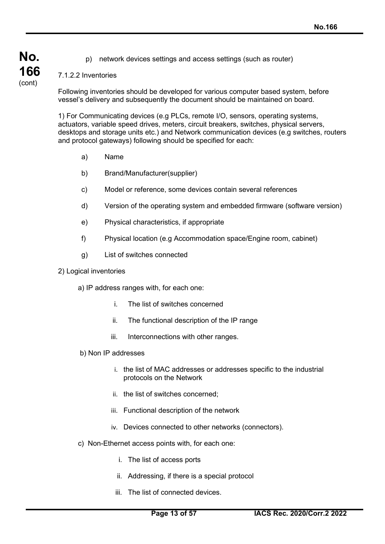p) network devices settings and access settings (such as router)

## 7.1.2.2 Inventories

**No.**

**166** (cont)

> Following inventories should be developed for various computer based system, before vessel's delivery and subsequently the document should be maintained on board.

1) For Communicating devices (e.g PLCs, remote I/O, sensors, operating systems, actuators, variable speed drives, meters, circuit breakers, switches, physical servers, desktops and storage units etc.) and Network communication devices (e.g switches, routers and protocol gateways) following should be specified for each:

- a) Name
- b) Brand/Manufacturer(supplier)
- c) Model or reference, some devices contain several references
- d) Version of the operating system and embedded firmware (software version)
- e) Physical characteristics, if appropriate
- f) Physical location (e.g Accommodation space/Engine room, cabinet)
- g) List of switches connected

#### 2) Logical inventories

a) IP address ranges with, for each one:

- i. The list of switches concerned
- ii. The functional description of the IP range
- iii. Interconnections with other ranges.
- b) Non IP addresses
	- i. the list of MAC addresses or addresses specific to the industrial protocols on the Network
	- ii. the list of switches concerned;
	- iii. Functional description of the network
	- iv. Devices connected to other networks (connectors).
- c) Non-Ethernet access points with, for each one:
	- i. The list of access ports
	- ii. Addressing, if there is a special protocol
	- iii. The list of connected devices.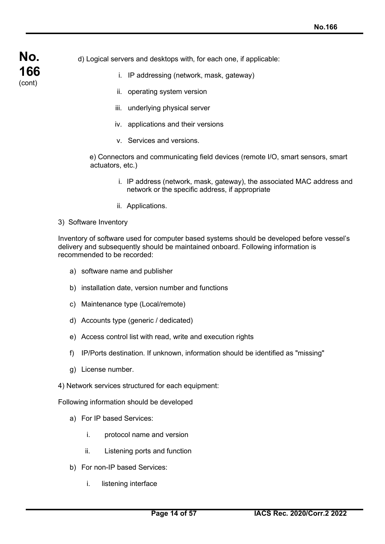d) Logical servers and desktops with, for each one, if applicable:

- i. IP addressing (network, mask, gateway)
- ii. operating system version
- iii. underlying physical server
- iv. applications and their versions
- v. Services and versions.

 e) Connectors and communicating field devices (remote I/O, smart sensors, smart actuators, etc.)

- i. IP address (network, mask, gateway), the associated MAC address and network or the specific address, if appropriate
- ii. Applications.
- 3) Software Inventory

**No.**

**166** (cont)

> Inventory of software used for computer based systems should be developed before vessel's delivery and subsequently should be maintained onboard. Following information is recommended to be recorded:

- a) software name and publisher
- b) installation date, version number and functions
- c) Maintenance type (Local/remote)
- d) Accounts type (generic / dedicated)
- e) Access control list with read, write and execution rights
- f) IP/Ports destination. If unknown, information should be identified as "missing"
- g) License number.
- 4) Network services structured for each equipment:

Following information should be developed

- a) For IP based Services:
	- i. protocol name and version
	- ii. Listening ports and function
- b) For non-IP based Services:
	- i. listening interface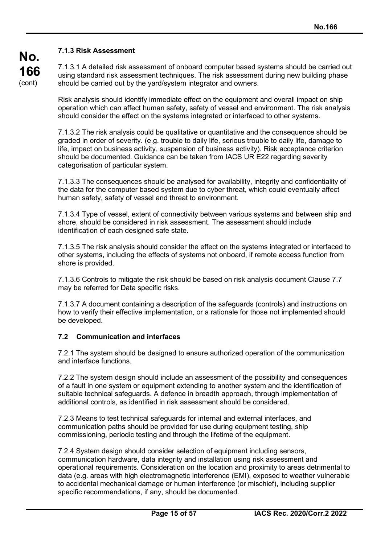**No. 166** (cont)

## **7.1.3 Risk Assessment**

7.1.3.1 A detailed risk assessment of onboard computer based systems should be carried out using standard risk assessment techniques. The risk assessment during new building phase should be carried out by the yard/system integrator and owners.

Risk analysis should identify immediate effect on the equipment and overall impact on ship operation which can affect human safety, safety of vessel and environment. The risk analysis should consider the effect on the systems integrated or interfaced to other systems.

7.1.3.2 The risk analysis could be qualitative or quantitative and the consequence should be graded in order of severity. (e.g. trouble to daily life, serious trouble to daily life, damage to life, impact on business activity, suspension of business activity). Risk acceptance criterion should be documented. Guidance can be taken from IACS UR E22 regarding severity categorisation of particular system.

7.1.3.3 The consequences should be analysed for availability, integrity and confidentiality of the data for the computer based system due to cyber threat, which could eventually affect human safety, safety of vessel and threat to environment.

7.1.3.4 Type of vessel, extent of connectivity between various systems and between ship and shore, should be considered in risk assessment. The assessment should include identification of each designed safe state.

7.1.3.5 The risk analysis should consider the effect on the systems integrated or interfaced to other systems, including the effects of systems not onboard, if remote access function from shore is provided.

7.1.3.6 Controls to mitigate the risk should be based on risk analysis document Clause 7.7 may be referred for Data specific risks.

7.1.3.7 A document containing a description of the safeguards (controls) and instructions on how to verify their effective implementation, or a rationale for those not implemented should be developed.

## **7.2 Communication and interfaces**

7.2.1 The system should be designed to ensure authorized operation of the communication and interface functions.

7.2.2 The system design should include an assessment of the possibility and consequences of a fault in one system or equipment extending to another system and the identification of suitable technical safeguards. A defence in breadth approach, through implementation of additional controls, as identified in risk assessment should be considered.

7.2.3 Means to test technical safeguards for internal and external interfaces, and communication paths should be provided for use during equipment testing, ship commissioning, periodic testing and through the lifetime of the equipment.

7.2.4 System design should consider selection of equipment including sensors, communication hardware, data integrity and installation using risk assessment and operational requirements. Consideration on the location and proximity to areas detrimental to data (e.g. areas with high electromagnetic interference (EMI), exposed to weather vulnerable to accidental mechanical damage or human interference (or mischief), including supplier specific recommendations, if any, should be documented.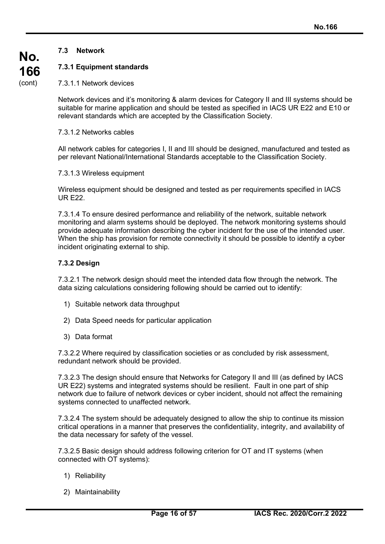## **7.3 Network**

**No.**

**166** (cont)

## **7.3.1 Equipment standards**

7.3.1.1 Network devices

Network devices and it's monitoring & alarm devices for Category II and III systems should be suitable for marine application and should be tested as specified in IACS UR E22 and E10 or relevant standards which are accepted by the Classification Society.

#### 7.3.1.2 Networks cables

All network cables for categories I, II and III should be designed, manufactured and tested as per relevant National/International Standards acceptable to the Classification Society.

7.3.1.3 Wireless equipment

Wireless equipment should be designed and tested as per requirements specified in IACS UR E22.

7.3.1.4 To ensure desired performance and reliability of the network, suitable network monitoring and alarm systems should be deployed. The network monitoring systems should provide adequate information describing the cyber incident for the use of the intended user. When the ship has provision for remote connectivity it should be possible to identify a cyber incident originating external to ship.

## **7.3.2 Design**

7.3.2.1 The network design should meet the intended data flow through the network. The data sizing calculations considering following should be carried out to identify:

- 1) Suitable network data throughput
- 2) Data Speed needs for particular application
- 3) Data format

7.3.2.2 Where required by classification societies or as concluded by risk assessment, redundant network should be provided.

7.3.2.3 The design should ensure that Networks for Category II and III (as defined by IACS UR E22) systems and integrated systems should be resilient. Fault in one part of ship network due to failure of network devices or cyber incident, should not affect the remaining systems connected to unaffected network.

7.3.2.4 The system should be adequately designed to allow the ship to continue its mission critical operations in a manner that preserves the confidentiality, integrity, and availability of the data necessary for safety of the vessel.

7.3.2.5 Basic design should address following criterion for OT and IT systems (when connected with OT systems):

- 1) Reliability
- 2) Maintainability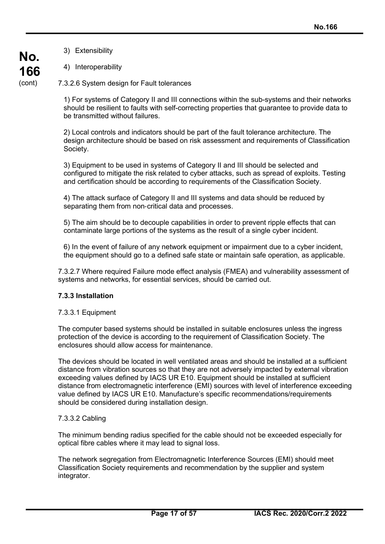3) Extensibility

**No.**

**166** (cont)

4) Interoperability

7.3.2.6 System design for Fault tolerances

1) For systems of Category II and III connections within the sub-systems and their networks should be resilient to faults with self-correcting properties that guarantee to provide data to be transmitted without failures.

2) Local controls and indicators should be part of the fault tolerance architecture. The design architecture should be based on risk assessment and requirements of Classification Society.

3) Equipment to be used in systems of Category II and III should be selected and configured to mitigate the risk related to cyber attacks, such as spread of exploits. Testing and certification should be according to requirements of the Classification Society.

4) The attack surface of Category II and III systems and data should be reduced by separating them from non-critical data and processes.

5) The aim should be to decouple capabilities in order to prevent ripple effects that can contaminate large portions of the systems as the result of a single cyber incident.

6) In the event of failure of any network equipment or impairment due to a cyber incident, the equipment should go to a defined safe state or maintain safe operation, as applicable.

7.3.2.7 Where required Failure mode effect analysis (FMEA) and vulnerability assessment of systems and networks, for essential services, should be carried out.

## **7.3.3 Installation**

#### 7.3.3.1 Equipment

The computer based systems should be installed in suitable enclosures unless the ingress protection of the device is according to the requirement of Classification Society. The enclosures should allow access for maintenance.

The devices should be located in well ventilated areas and should be installed at a sufficient distance from vibration sources so that they are not adversely impacted by external vibration exceeding values defined by IACS UR E10. Equipment should be installed at sufficient distance from electromagnetic interference (EMI) sources with level of interference exceeding value defined by IACS UR E10. Manufacture's specific recommendations/requirements should be considered during installation design.

#### 7.3.3.2 Cabling

The minimum bending radius specified for the cable should not be exceeded especially for optical fibre cables where it may lead to signal loss.

The network segregation from Electromagnetic Interference Sources (EMI) should meet Classification Society requirements and recommendation by the supplier and system integrator.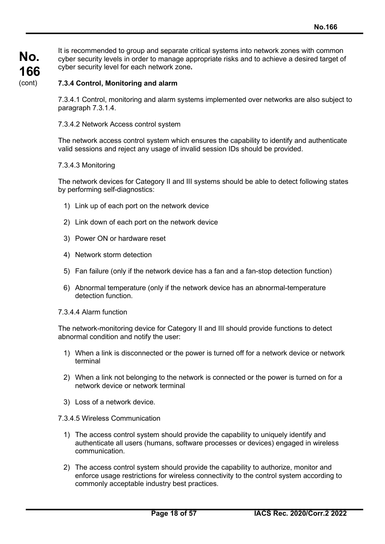It is recommended to group and separate critical systems into network zones with common cyber security levels in order to manage appropriate risks and to achieve a desired target of cyber security level for each network zone**.**

#### **7.3.4 Control, Monitoring and alarm**

7.3.4.1 Control, monitoring and alarm systems implemented over networks are also subject to paragraph 7.3.1.4.

#### 7.3.4.2 Network Access control system

The network access control system which ensures the capability to identify and authenticate valid sessions and reject any usage of invalid session IDs should be provided.

#### 7.3.4.3 Monitoring

The network devices for Category II and III systems should be able to detect following states by performing self-diagnostics:

- 1) Link up of each port on the network device
- 2) Link down of each port on the network device
- 3) Power ON or hardware reset
- 4) Network storm detection
- 5) Fan failure (only if the network device has a fan and a fan-stop detection function)
- 6) Abnormal temperature (only if the network device has an abnormal-temperature detection function.

#### 7.3.4.4 Alarm function

The network-monitoring device for Category II and III should provide functions to detect abnormal condition and notify the user:

- 1) When a link is disconnected or the power is turned off for a network device or network terminal
- 2) When a link not belonging to the network is connected or the power is turned on for a network device or network terminal
- 3) Loss of a network device.
- 7.3.4.5 Wireless Communication
	- 1) The access control system should provide the capability to uniquely identify and authenticate all users (humans, software processes or devices) engaged in wireless communication.
	- 2) The access control system should provide the capability to authorize, monitor and enforce usage restrictions for wireless connectivity to the control system according to commonly acceptable industry best practices.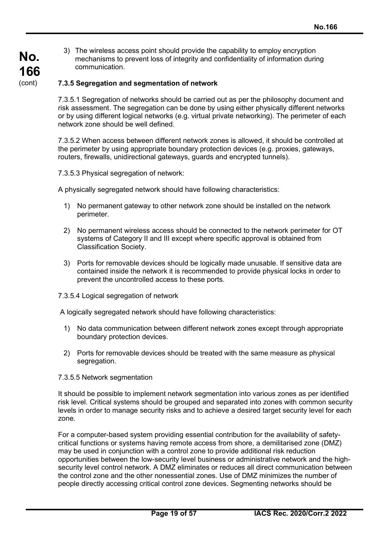3) The wireless access point should provide the capability to employ encryption mechanisms to prevent loss of integrity and confidentiality of information during communication.

## **7.3.5 Segregation and segmentation of network**

7.3.5.1 Segregation of networks should be carried out as per the philosophy document and risk assessment. The segregation can be done by using either physically different networks or by using different logical networks (e.g. virtual private networking). The perimeter of each network zone should be well defined.

7.3.5.2 When access between different network zones is allowed, it should be controlled at the perimeter by using appropriate boundary protection devices (e.g. proxies, gateways, routers, firewalls, unidirectional gateways, guards and encrypted tunnels).

7.3.5.3 Physical segregation of network:

A physically segregated network should have following characteristics:

- 1) No permanent gateway to other network zone should be installed on the network perimeter.
- 2) No permanent wireless access should be connected to the network perimeter for OT systems of Category II and III except where specific approval is obtained from Classification Society.
- 3) Ports for removable devices should be logically made unusable. If sensitive data are contained inside the network it is recommended to provide physical locks in order to prevent the uncontrolled access to these ports.
- 7.3.5.4 Logical segregation of network

A logically segregated network should have following characteristics:

- 1) No data communication between different network zones except through appropriate boundary protection devices.
- 2) Ports for removable devices should be treated with the same measure as physical segregation.
- 7.3.5.5 Network segmentation

It should be possible to implement network segmentation into various zones as per identified risk level. Critical systems should be grouped and separated into zones with common security levels in order to manage security risks and to achieve a desired target security level for each zone.

For a computer-based system providing essential contribution for the availability of safetycritical functions or systems having remote access from shore, a demilitarised zone (DMZ) may be used in conjunction with a control zone to provide additional risk reduction opportunities between the low-security level business or administrative network and the highsecurity level control network. A DMZ eliminates or reduces all direct communication between the control zone and the other nonessential zones. Use of DMZ minimizes the number of people directly accessing critical control zone devices. Segmenting networks should be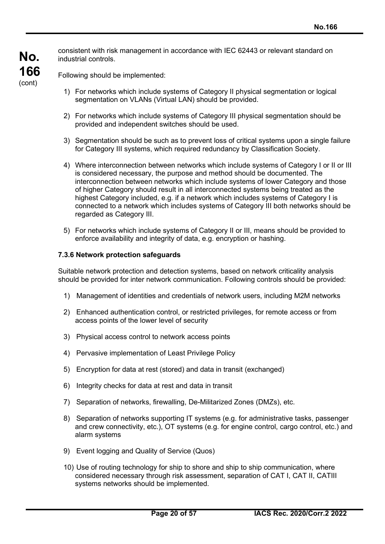consistent with risk management in accordance with IEC 62443 or relevant standard on industrial controls.

Following should be implemented:

**No.**

**166** (cont)

- 1) For networks which include systems of Category II physical segmentation or logical segmentation on VLANs (Virtual LAN) should be provided.
- 2) For networks which include systems of Category III physical segmentation should be provided and independent switches should be used.
- 3) Segmentation should be such as to prevent loss of critical systems upon a single failure for Category III systems, which required redundancy by Classification Society.
- 4) Where interconnection between networks which include systems of Category I or II or III is considered necessary, the purpose and method should be documented. The interconnection between networks which include systems of lower Category and those of higher Category should result in all interconnected systems being treated as the highest Category included, e.g. if a network which includes systems of Category I is connected to a network which includes systems of Category III both networks should be regarded as Category III.
- 5) For networks which include systems of Category II or III, means should be provided to enforce availability and integrity of data, e.g. encryption or hashing.

#### **7.3.6 Network protection safeguards**

Suitable network protection and detection systems, based on network criticality analysis should be provided for inter network communication. Following controls should be provided:

- 1) Management of identities and credentials of network users, including M2M networks
- 2) Enhanced authentication control, or restricted privileges, for remote access or from access points of the lower level of security
- 3) Physical access control to network access points
- 4) Pervasive implementation of Least Privilege Policy
- 5) Encryption for data at rest (stored) and data in transit (exchanged)
- 6) Integrity checks for data at rest and data in transit
- 7) Separation of networks, firewalling, De-Militarized Zones (DMZs), etc.
- 8) Separation of networks supporting IT systems (e.g. for administrative tasks, passenger and crew connectivity, etc.), OT systems (e.g. for engine control, cargo control, etc.) and alarm systems
- 9) Event logging and Quality of Service (Quos)
- 10) Use of routing technology for ship to shore and ship to ship communication, where considered necessary through risk assessment, separation of CAT I, CAT II, CATIII systems networks should be implemented.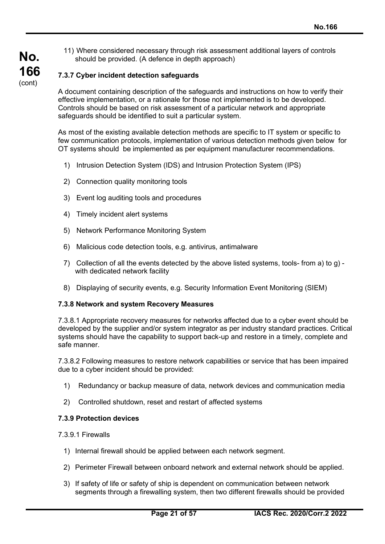11) Where considered necessary through risk assessment additional layers of controls should be provided. (A defence in depth approach)

## **7.3.7 Cyber incident detection safeguards**

**No.**

**166** (cont)

> A document containing description of the safeguards and instructions on how to verify their effective implementation, or a rationale for those not implemented is to be developed. Controls should be based on risk assessment of a particular network and appropriate safeguards should be identified to suit a particular system.

As most of the existing available detection methods are specific to IT system or specific to few communication protocols, implementation of various detection methods given below for OT systems should be implemented as per equipment manufacturer recommendations.

- 1) Intrusion Detection System (IDS) and Intrusion Protection System (IPS)
- 2) Connection quality monitoring tools
- 3) Event log auditing tools and procedures
- 4) Timely incident alert systems
- 5) Network Performance Monitoring System
- 6) Malicious code detection tools, e.g. antivirus, antimalware
- 7) Collection of all the events detected by the above listed systems, tools- from a) to g) with dedicated network facility
- 8) Displaying of security events, e.g. Security Information Event Monitoring (SIEM)

#### **7.3.8 Network and system Recovery Measures**

7.3.8.1 Appropriate recovery measures for networks affected due to a cyber event should be developed by the supplier and/or system integrator as per industry standard practices. Critical systems should have the capability to support back-up and restore in a timely, complete and safe manner.

7.3.8.2 Following measures to restore network capabilities or service that has been impaired due to a cyber incident should be provided:

- 1) Redundancy or backup measure of data, network devices and communication media
- 2) Controlled shutdown, reset and restart of affected systems

#### **7.3.9 Protection devices**

- 7.3.9.1 Firewalls
	- 1) Internal firewall should be applied between each network segment.
	- 2) Perimeter Firewall between onboard network and external network should be applied.
	- 3) If safety of life or safety of ship is dependent on communication between network segments through a firewalling system, then two different firewalls should be provided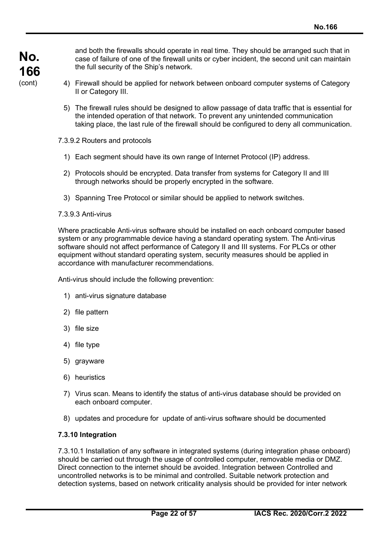and both the firewalls should operate in real time. They should be arranged such that in case of failure of one of the firewall units or cyber incident, the second unit can maintain the full security of the Ship's network.

- 4) Firewall should be applied for network between onboard computer systems of Category II or Category III.
- 5) The firewall rules should be designed to allow passage of data traffic that is essential for the intended operation of that network. To prevent any unintended communication taking place, the last rule of the firewall should be configured to deny all communication.

7.3.9.2 Routers and protocols

- 1) Each segment should have its own range of Internet Protocol (IP) address.
- 2) Protocols should be encrypted. Data transfer from systems for Category II and III through networks should be properly encrypted in the software.
- 3) Spanning Tree Protocol or similar should be applied to network switches.

#### 7.3.9.3 Anti-virus

Where practicable Anti-virus software should be installed on each onboard computer based system or any programmable device having a standard operating system. The Anti-virus software should not affect performance of Category II and III systems. For PLCs or other equipment without standard operating system, security measures should be applied in accordance with manufacturer recommendations.

Anti-virus should include the following prevention:

- 1) anti-virus signature database
- 2) file pattern
- 3) file size
- 4) file type
- 5) grayware
- 6) heuristics
- 7) Virus scan. Means to identify the status of anti-virus database should be provided on each onboard computer.
- 8) updates and procedure for update of anti-virus software should be documented

#### **7.3.10 Integration**

7.3.10.1 Installation of any software in integrated systems (during integration phase onboard) should be carried out through the usage of controlled computer, removable media or DMZ. Direct connection to the internet should be avoided. Integration between Controlled and uncontrolled networks is to be minimal and controlled. Suitable network protection and detection systems, based on network criticality analysis should be provided for inter network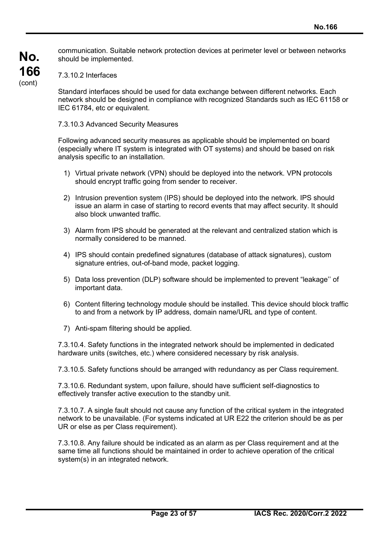communication. Suitable network protection devices at perimeter level or between networks should be implemented.

7.3.10.2 Interfaces

Standard interfaces should be used for data exchange between different networks. Each network should be designed in compliance with recognized Standards such as IEC 61158 or IEC 61784, etc or equivalent.

7.3.10.3 Advanced Security Measures

Following advanced security measures as applicable should be implemented on board (especially where IT system is integrated with OT systems) and should be based on risk analysis specific to an installation.

- 1) Virtual private network (VPN) should be deployed into the network. VPN protocols should encrypt traffic going from sender to receiver.
- 2) Intrusion prevention system (IPS) should be deployed into the network. IPS should issue an alarm in case of starting to record events that may affect security. It should also block unwanted traffic.
- 3) Alarm from IPS should be generated at the relevant and centralized station which is normally considered to be manned.
- 4) IPS should contain predefined signatures (database of attack signatures), custom signature entries, out-of-band mode, packet logging.
- 5) Data loss prevention (DLP) software should be implemented to prevent "leakage'' of important data.
- 6) Content filtering technology module should be installed. This device should block traffic to and from a network by IP address, domain name/URL and type of content.
- 7) Anti-spam filtering should be applied.

7.3.10.4. Safety functions in the integrated network should be implemented in dedicated hardware units (switches, etc.) where considered necessary by risk analysis.

7.3.10.5. Safety functions should be arranged with redundancy as per Class requirement.

7.3.10.6. Redundant system, upon failure, should have sufficient self-diagnostics to effectively transfer active execution to the standby unit.

7.3.10.7. A single fault should not cause any function of the critical system in the integrated network to be unavailable. (For systems indicated at UR E22 the criterion should be as per UR or else as per Class requirement).

7.3.10.8. Any failure should be indicated as an alarm as per Class requirement and at the same time all functions should be maintained in order to achieve operation of the critical system(s) in an integrated network.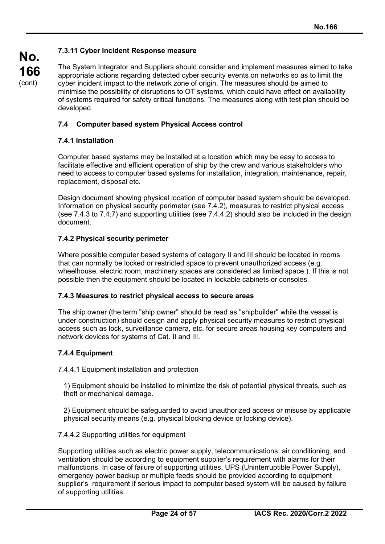## **7.3.11 Cyber Incident Response measure**

The System Integrator and Suppliers should consider and implement measures aimed to take appropriate actions regarding detected cyber security events on networks so as to limit the cyber incident impact to the network zone of origin. The measures should be aimed to minimise the possibility of disruptions to OT systems, which could have effect on availability of systems required for safety critical functions. The measures along with test plan should be developed.

## **7.4 Computer based system Physical Access control**

## **7.4.1 Installation**

**No.**

**166** (cont)

> Computer based systems may be installed at a location which may be easy to access to facilitate effective and efficient operation of ship by the crew and various stakeholders who need to access to computer based systems for installation, integration, maintenance, repair, replacement, disposal etc.

Design document showing physical location of computer based system should be developed. Information on physical security perimeter (see 7.4.2), measures to restrict physical access (see 7.4.3 to 7.4.7) and supporting utilities (see 7.4.4.2) should also be included in the design document.

#### **7.4.2 Physical security perimeter**

Where possible computer based systems of category II and III should be located in rooms that can normally be locked or restricted space to prevent unauthorized access (e.g. wheelhouse, electric room, machinery spaces are considered as limited space.). If this is not possible then the equipment should be located in lockable cabinets or consoles.

#### **7.4.3 Measures to restrict physical access to secure areas**

The ship owner (the term "ship owner" should be read as "shipbuilder" while the vessel is under construction) should design and apply physical security measures to restrict physical access such as lock, surveillance camera, etc. for secure areas housing key computers and network devices for systems of Cat. II and III.

## **7.4.4 Equipment**

7.4.4.1 Equipment installation and protection

1) Equipment should be installed to minimize the risk of potential physical threats, such as theft or mechanical damage.

2) Equipment should be safeguarded to avoid unauthorized access or misuse by applicable physical security means (e.g. physical blocking device or locking device).

#### 7.4.4.2 Supporting utilities for equipment

Supporting utilities such as electric power supply, telecommunications, air conditioning, and ventilation should be according to equipment supplier's requirement with alarms for their malfunctions. In case of failure of supporting utilities, UPS (Uninterruptible Power Supply), emergency power backup or multiple feeds should be provided according to equipment supplier's requirement if serious impact to computer based system will be caused by failure of supporting utilities.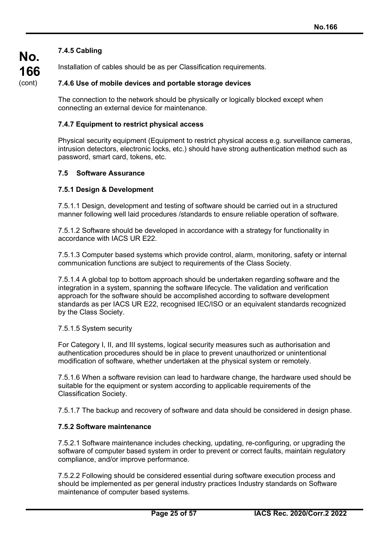## **7.4.5 Cabling**

**No.**

**166** (cont)

Installation of cables should be as per Classification requirements.

## **7.4.6 Use of mobile devices and portable storage devices**

The connection to the network should be physically or logically blocked except when connecting an external device for maintenance.

## **7.4.7 Equipment to restrict physical access**

Physical security equipment (Equipment to restrict physical access e.g. surveillance cameras, intrusion detectors, electronic locks, etc.) should have strong authentication method such as password, smart card, tokens, etc.

#### **7.5 Software Assurance**

#### **7.5.1 Design & Development**

7.5.1.1 Design, development and testing of software should be carried out in a structured manner following well laid procedures /standards to ensure reliable operation of software.

7.5.1.2 Software should be developed in accordance with a strategy for functionality in accordance with IACS UR E22.

7.5.1.3 Computer based systems which provide control, alarm, monitoring, safety or internal communication functions are subject to requirements of the Class Society.

7.5.1.4 A global top to bottom approach should be undertaken regarding software and the integration in a system, spanning the software lifecycle. The validation and verification approach for the software should be accomplished according to software development standards as per IACS UR E22, recognised IEC/ISO or an equivalent standards recognized by the Class Society.

#### 7.5.1.5 System security

For Category I, II, and III systems, logical security measures such as authorisation and authentication procedures should be in place to prevent unauthorized or unintentional modification of software, whether undertaken at the physical system or remotely.

7.5.1.6 When a software revision can lead to hardware change, the hardware used should be suitable for the equipment or system according to applicable requirements of the Classification Society.

7.5.1.7 The backup and recovery of software and data should be considered in design phase.

## **7.5.2 Software maintenance**

7.5.2.1 Software maintenance includes checking, updating, re-configuring, or upgrading the software of computer based system in order to prevent or correct faults, maintain regulatory compliance, and/or improve performance.

7.5.2.2 Following should be considered essential during software execution process and should be implemented as per general industry practices Industry standards on Software maintenance of computer based systems.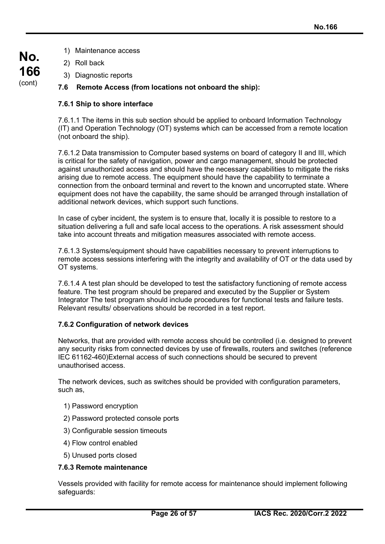- **No. 166** (cont)
- 1) Maintenance access
- 2) Roll back
- 3) Diagnostic reports

## **7.6 Remote Access (from locations not onboard the ship):**

## **7.6.1 Ship to shore interface**

7.6.1.1 The items in this sub section should be applied to onboard Information Technology (IT) and Operation Technology (OT) systems which can be accessed from a remote location (not onboard the ship).

7.6.1.2 Data transmission to Computer based systems on board of category II and III, which is critical for the safety of navigation, power and cargo management, should be protected against unauthorized access and should have the necessary capabilities to mitigate the risks arising due to remote access. The equipment should have the capability to terminate a connection from the onboard terminal and revert to the known and uncorrupted state. Where equipment does not have the capability, the same should be arranged through installation of additional network devices, which support such functions.

In case of cyber incident, the system is to ensure that, locally it is possible to restore to a situation delivering a full and safe local access to the operations. A risk assessment should take into account threats and mitigation measures associated with remote access.

7.6.1.3 Systems/equipment should have capabilities necessary to prevent interruptions to remote access sessions interfering with the integrity and availability of OT or the data used by OT systems.

7.6.1.4 A test plan should be developed to test the satisfactory functioning of remote access feature. The test program should be prepared and executed by the Supplier or System Integrator The test program should include procedures for functional tests and failure tests. Relevant results/ observations should be recorded in a test report.

## **7.6.2 Configuration of network devices**

Networks, that are provided with remote access should be controlled (i.e. designed to prevent any security risks from connected devices by use of firewalls, routers and switches (reference IEC 61162-460)External access of such connections should be secured to prevent unauthorised access.

The network devices, such as switches should be provided with configuration parameters, such as,

- 1) Password encryption
- 2) Password protected console ports
- 3) Configurable session timeouts
- 4) Flow control enabled
- 5) Unused ports closed

## **7.6.3 Remote maintenance**

Vessels provided with facility for remote access for maintenance should implement following safeguards: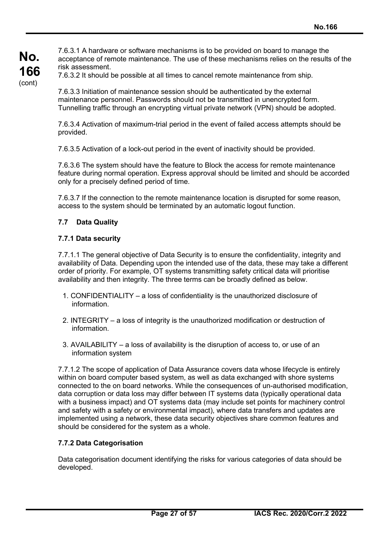7.6.3.1 A hardware or software mechanisms is to be provided on board to manage the acceptance of remote maintenance. The use of these mechanisms relies on the results of the risk assessment.

**166** (cont)

**No.**

7.6.3.2 It should be possible at all times to cancel remote maintenance from ship.

7.6.3.3 Initiation of maintenance session should be authenticated by the external maintenance personnel. Passwords should not be transmitted in unencrypted form. Tunnelling traffic through an encrypting virtual private network (VPN) should be adopted.

7.6.3.4 Activation of maximum-trial period in the event of failed access attempts should be provided.

7.6.3.5 Activation of a lock-out period in the event of inactivity should be provided.

7.6.3.6 The system should have the feature to Block the access for remote maintenance feature during normal operation. Express approval should be limited and should be accorded only for a precisely defined period of time.

7.6.3.7 If the connection to the remote maintenance location is disrupted for some reason, access to the system should be terminated by an automatic logout function.

## **7.7 Data Quality**

## **7.7.1 Data security**

7.7.1.1 The general objective of Data Security is to ensure the confidentiality, integrity and availability of Data. Depending upon the intended use of the data, these may take a different order of priority. For example, OT systems transmitting safety critical data will prioritise availability and then integrity. The three terms can be broadly defined as below.

- 1. CONFIDENTIALITY a loss of confidentiality is the unauthorized disclosure of information.
- 2. INTEGRITY a loss of integrity is the unauthorized modification or destruction of information.
- 3. AVAILABILITY a loss of availability is the disruption of access to, or use of an information system

7.7.1.2 The scope of application of Data Assurance covers data whose lifecycle is entirely within on board computer based system, as well as data exchanged with shore systems connected to the on board networks. While the consequences of un-authorised modification, data corruption or data loss may differ between IT systems data (typically operational data with a business impact) and OT systems data (may include set points for machinery control and safety with a safety or environmental impact), where data transfers and updates are implemented using a network, these data security objectives share common features and should be considered for the system as a whole.

## **7.7.2 Data Categorisation**

Data categorisation document identifying the risks for various categories of data should be developed.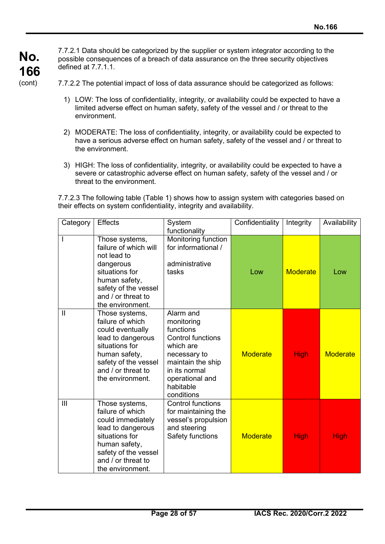7.7.2.1 Data should be categorized by the supplier or system integrator according to the possible consequences of a breach of data assurance on the three security objectives defined at 7.7.1.1.

7.7.2.2 The potential impact of loss of data assurance should be categorized as follows:

- 1) LOW: The loss of confidentiality, integrity, or availability could be expected to have a limited adverse effect on human safety, safety of the vessel and / or threat to the environment.
- 2) MODERATE: The loss of confidentiality, integrity, or availability could be expected to have a serious adverse effect on human safety, safety of the vessel and / or threat to the environment.
- 3) HIGH: The loss of confidentiality, integrity, or availability could be expected to have a severe or catastrophic adverse effect on human safety, safety of the vessel and / or threat to the environment.

7.7.2.3 The following table (Table 1) shows how to assign system with categories based on their effects on system confidentiality, integrity and availability.

| Category      | <b>Effects</b>                                                                                                                                                                    | System<br>functionality                                                                                                                                                           | Confidentiality | Integrity       | Availability    |
|---------------|-----------------------------------------------------------------------------------------------------------------------------------------------------------------------------------|-----------------------------------------------------------------------------------------------------------------------------------------------------------------------------------|-----------------|-----------------|-----------------|
|               | Those systems,<br>failure of which will<br>not lead to<br>dangerous<br>situations for<br>human safety,<br>safety of the vessel<br>and / or threat to<br>the environment.          | Monitoring function<br>for informational /<br>administrative<br>tasks                                                                                                             | Low             | <b>Moderate</b> | Low             |
| $\mathbf{II}$ | Those systems,<br>failure of which<br>could eventually<br>lead to dangerous<br>situations for<br>human safety,<br>safety of the vessel<br>and / or threat to<br>the environment.  | Alarm and<br>monitoring<br>functions<br><b>Control functions</b><br>which are<br>necessary to<br>maintain the ship<br>in its normal<br>operational and<br>habitable<br>conditions | <b>Moderate</b> | <b>High</b>     | <b>Moderate</b> |
| III           | Those systems,<br>failure of which<br>could immediately<br>lead to dangerous<br>situations for<br>human safety,<br>safety of the vessel<br>and / or threat to<br>the environment. | <b>Control functions</b><br>for maintaining the<br>vessel's propulsion<br>and steering<br>Safety functions                                                                        | <b>Moderate</b> | <b>High</b>     | <b>High</b>     |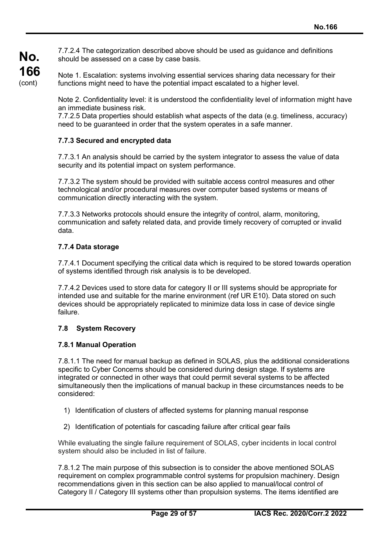7.7.2.4 The categorization described above should be used as guidance and definitions should be assessed on a case by case basis.

Note 1. Escalation: systems involving essential services sharing data necessary for their functions might need to have the potential impact escalated to a higher level.

Note 2. Confidentiality level: it is understood the confidentiality level of information might have an immediate business risk.

7.7.2.5 Data properties should establish what aspects of the data (e.g. timeliness, accuracy) need to be guaranteed in order that the system operates in a safe manner.

## **7.7.3 Secured and encrypted data**

7.7.3.1 An analysis should be carried by the system integrator to assess the value of data security and its potential impact on system performance.

7.7.3.2 The system should be provided with suitable access control measures and other technological and/or procedural measures over computer based systems or means of communication directly interacting with the system.

7.7.3.3 Networks protocols should ensure the integrity of control, alarm, monitoring, communication and safety related data, and provide timely recovery of corrupted or invalid data.

## **7.7.4 Data storage**

**No.**

**166** (cont)

> 7.7.4.1 Document specifying the critical data which is required to be stored towards operation of systems identified through risk analysis is to be developed.

7.7.4.2 Devices used to store data for category II or III systems should be appropriate for intended use and suitable for the marine environment (ref UR E10). Data stored on such devices should be appropriately replicated to minimize data loss in case of device single failure.

## **7.8 System Recovery**

#### **7.8.1 Manual Operation**

7.8.1.1 The need for manual backup as defined in SOLAS, plus the additional considerations specific to Cyber Concerns should be considered during design stage. If systems are integrated or connected in other ways that could permit several systems to be affected simultaneously then the implications of manual backup in these circumstances needs to be considered:

- 1) Identification of clusters of affected systems for planning manual response
- 2) Identification of potentials for cascading failure after critical gear fails

While evaluating the single failure requirement of SOLAS, cyber incidents in local control system should also be included in list of failure.

7.8.1.2 The main purpose of this subsection is to consider the above mentioned SOLAS requirement on complex programmable control systems for propulsion machinery. Design recommendations given in this section can be also applied to manual/local control of Category II / Category III systems other than propulsion systems. The items identified are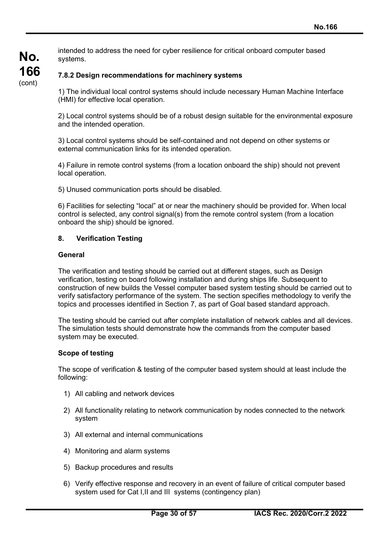intended to address the need for cyber resilience for critical onboard computer based systems.

## **7.8.2 Design recommendations for machinery systems**

1) The individual local control systems should include necessary Human Machine Interface (HMI) for effective local operation.

2) Local control systems should be of a robust design suitable for the environmental exposure and the intended operation.

3) Local control systems should be self-contained and not depend on other systems or external communication links for its intended operation.

4) Failure in remote control systems (from a location onboard the ship) should not prevent local operation.

5) Unused communication ports should be disabled.

6) Facilities for selecting "local" at or near the machinery should be provided for. When local control is selected, any control signal(s) from the remote control system (from a location onboard the ship) should be ignored.

#### **8. Verification Testing**

#### **General**

**No.**

**166** (cont)

> The verification and testing should be carried out at different stages, such as Design verification, testing on board following installation and during ships life. Subsequent to construction of new builds the Vessel computer based system testing should be carried out to verify satisfactory performance of the system. The section specifies methodology to verify the topics and processes identified in Section 7, as part of Goal based standard approach.

> The testing should be carried out after complete installation of network cables and all devices. The simulation tests should demonstrate how the commands from the computer based system may be executed.

#### **Scope of testing**

The scope of verification & testing of the computer based system should at least include the following:

- 1) All cabling and network devices
- 2) All functionality relating to network communication by nodes connected to the network system
- 3) All external and internal communications
- 4) Monitoring and alarm systems
- 5) Backup procedures and results
- 6) Verify effective response and recovery in an event of failure of critical computer based system used for Cat I,II and III systems (contingency plan)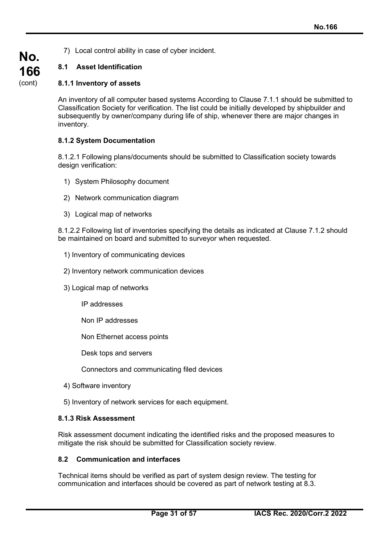7) Local control ability in case of cyber incident.

## **8.1 Asset Identification**

**No.**

**166** (cont)

## **8.1.1 Inventory of assets**

An inventory of all computer based systems According to Clause 7.1.1 should be submitted to Classification Society for verification. The list could be initially developed by shipbuilder and subsequently by owner/company during life of ship, whenever there are major changes in inventory.

## **8.1.2 System Documentation**

8.1.2.1 Following plans/documents should be submitted to Classification society towards design verification:

- 1) System Philosophy document
- 2) Network communication diagram
- 3) Logical map of networks

8.1.2.2 Following list of inventories specifying the details as indicated at Clause 7.1.2 should be maintained on board and submitted to surveyor when requested.

- 1) Inventory of communicating devices
- 2) Inventory network communication devices
- 3) Logical map of networks
	- IP addresses
	- Non IP addresses

Non Ethernet access points

Desk tops and servers

Connectors and communicating filed devices

- 4) Software inventory
- 5) Inventory of network services for each equipment.

## **8.1.3 Risk Assessment**

Risk assessment document indicating the identified risks and the proposed measures to mitigate the risk should be submitted for Classification society review.

## **8.2 Communication and interfaces**

Technical items should be verified as part of system design review. The testing for communication and interfaces should be covered as part of network testing at 8.3.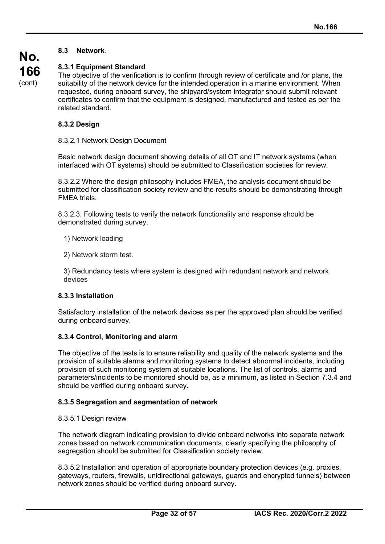## **8.3 Network**.

**No. 166** (cont)

## **8.3.1 Equipment Standard**

The objective of the verification is to confirm through review of certificate and /or plans, the suitability of the network device for the intended operation in a marine environment. When requested, during onboard survey, the shipyard/system integrator should submit relevant certificates to confirm that the equipment is designed, manufactured and tested as per the related standard.

## **8.3.2 Design**

#### 8.3.2.1 Network Design Document

Basic network design document showing details of all OT and IT network systems (when interfaced with OT systems) should be submitted to Classification societies for review.

8.3.2.2 Where the design philosophy includes FMEA, the analysis document should be submitted for classification society review and the results should be demonstrating through FMEA trials.

8.3.2.3. Following tests to verify the network functionality and response should be demonstrated during survey.

1) Network loading

2) Network storm test.

3) Redundancy tests where system is designed with redundant network and network devices

#### **8.3.3 Installation**

Satisfactory installation of the network devices as per the approved plan should be verified during onboard survey.

#### **8.3.4 Control, Monitoring and alarm**

The objective of the tests is to ensure reliability and quality of the network systems and the provision of suitable alarms and monitoring systems to detect abnormal incidents, including provision of such monitoring system at suitable locations. The list of controls, alarms and parameters/incidents to be monitored should be, as a minimum, as listed in Section 7.3.4 and should be verified during onboard survey.

#### **8.3.5 Segregation and segmentation of network**

#### 8.3.5.1 Design review

The network diagram indicating provision to divide onboard networks into separate network zones based on network communication documents, clearly specifying the philosophy of segregation should be submitted for Classification society review.

8.3.5.2 Installation and operation of appropriate boundary protection devices (e.g. proxies, gateways, routers, firewalls, unidirectional gateways, guards and encrypted tunnels) between network zones should be verified during onboard survey.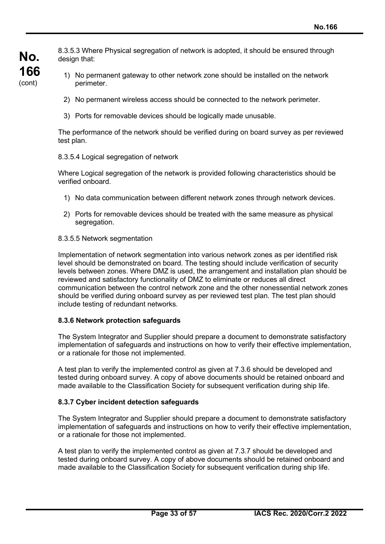**No. 166** (cont)

8.3.5.3 Where Physical segregation of network is adopted, it should be ensured through design that:

- 1) No permanent gateway to other network zone should be installed on the network perimeter.
- 2) No permanent wireless access should be connected to the network perimeter.
- 3) Ports for removable devices should be logically made unusable.

The performance of the network should be verified during on board survey as per reviewed test plan.

#### 8.3.5.4 Logical segregation of network

Where Logical segregation of the network is provided following characteristics should be verified onboard.

- 1) No data communication between different network zones through network devices.
- 2) Ports for removable devices should be treated with the same measure as physical segregation.

#### 8.3.5.5 Network segmentation

Implementation of network segmentation into various network zones as per identified risk level should be demonstrated on board. The testing should include verification of security levels between zones. Where DMZ is used, the arrangement and installation plan should be reviewed and satisfactory functionality of DMZ to eliminate or reduces all direct communication between the control network zone and the other nonessential network zones should be verified during onboard survey as per reviewed test plan. The test plan should include testing of redundant networks.

#### **8.3.6 Network protection safeguards**

The System Integrator and Supplier should prepare a document to demonstrate satisfactory implementation of safeguards and instructions on how to verify their effective implementation, or a rationale for those not implemented.

A test plan to verify the implemented control as given at 7.3.6 should be developed and tested during onboard survey. A copy of above documents should be retained onboard and made available to the Classification Society for subsequent verification during ship life.

#### **8.3.7 Cyber incident detection safeguards**

The System Integrator and Supplier should prepare a document to demonstrate satisfactory implementation of safeguards and instructions on how to verify their effective implementation, or a rationale for those not implemented.

A test plan to verify the implemented control as given at 7.3.7 should be developed and tested during onboard survey. A copy of above documents should be retained onboard and made available to the Classification Society for subsequent verification during ship life.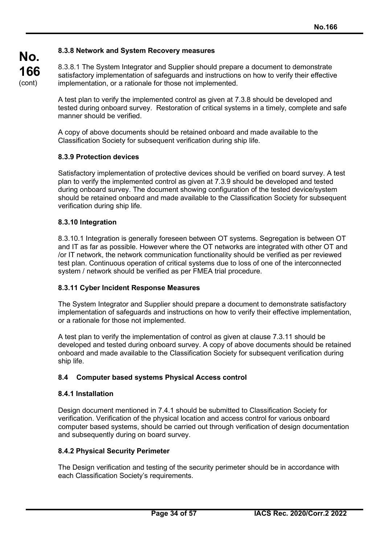## **8.3.8 Network and System Recovery measures**

8.3.8.1 The System Integrator and Supplier should prepare a document to demonstrate satisfactory implementation of safeguards and instructions on how to verify their effective implementation, or a rationale for those not implemented.

A test plan to verify the implemented control as given at 7.3.8 should be developed and tested during onboard survey. Restoration of critical systems in a timely, complete and safe manner should be verified.

A copy of above documents should be retained onboard and made available to the Classification Society for subsequent verification during ship life.

#### **8.3.9 Protection devices**

**No.**

**166** (cont)

> Satisfactory implementation of protective devices should be verified on board survey. A test plan to verify the implemented control as given at 7.3.9 should be developed and tested during onboard survey. The document showing configuration of the tested device/system should be retained onboard and made available to the Classification Society for subsequent verification during ship life.

#### **8.3.10 Integration**

8.3.10.1 Integration is generally foreseen between OT systems. Segregation is between OT and IT as far as possible. However where the OT networks are integrated with other OT and /or IT network, the network communication functionality should be verified as per reviewed test plan. Continuous operation of critical systems due to loss of one of the interconnected system / network should be verified as per FMEA trial procedure.

#### **8.3.11 Cyber Incident Response Measures**

The System Integrator and Supplier should prepare a document to demonstrate satisfactory implementation of safeguards and instructions on how to verify their effective implementation, or a rationale for those not implemented.

A test plan to verify the implementation of control as given at clause 7.3.11 should be developed and tested during onboard survey. A copy of above documents should be retained onboard and made available to the Classification Society for subsequent verification during ship life.

#### **8.4 Computer based systems Physical Access control**

#### **8.4.1 Installation**

Design document mentioned in 7.4.1 should be submitted to Classification Society for verification. Verification of the physical location and access control for various onboard computer based systems, should be carried out through verification of design documentation and subsequently during on board survey.

#### **8.4.2 Physical Security Perimeter**

The Design verification and testing of the security perimeter should be in accordance with each Classification Society's requirements.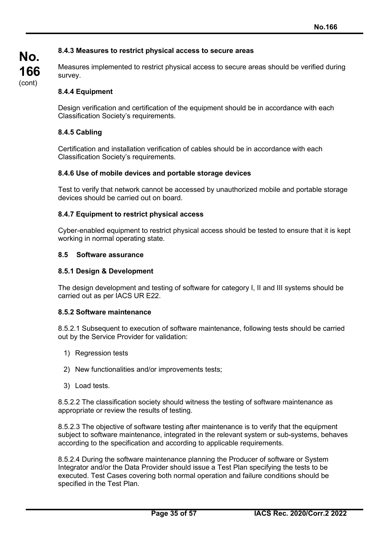## **8.4.3 Measures to restrict physical access to secure areas**

Measures implemented to restrict physical access to secure areas should be verified during survey.

#### **8.4.4 Equipment**

Design verification and certification of the equipment should be in accordance with each Classification Society's requirements*.*

#### **8.4.5 Cabling**

Certification and installation verification of cables should be in accordance with each Classification Society's requirements*.*

#### **8.4.6 Use of mobile devices and portable storage devices**

Test to verify that network cannot be accessed by unauthorized mobile and portable storage devices should be carried out on board.

#### **8.4.7 Equipment to restrict physical access**

Cyber-enabled equipment to restrict physical access should be tested to ensure that it is kept working in normal operating state.

#### **8.5 Software assurance**

#### **8.5.1 Design & Development**

The design development and testing of software for category I, II and III systems should be carried out as per IACS UR E22.

#### **8.5.2 Software maintenance**

8.5.2.1 Subsequent to execution of software maintenance, following tests should be carried out by the Service Provider for validation:

- 1) Regression tests
- 2) New functionalities and/or improvements tests;
- 3) Load tests.

8.5.2.2 The classification society should witness the testing of software maintenance as appropriate or review the results of testing.

8.5.2.3 The objective of software testing after maintenance is to verify that the equipment subject to software maintenance, integrated in the relevant system or sub-systems, behaves according to the specification and according to applicable requirements.

8.5.2.4 During the software maintenance planning the Producer of software or System Integrator and/or the Data Provider should issue a Test Plan specifying the tests to be executed. Test Cases covering both normal operation and failure conditions should be specified in the Test Plan.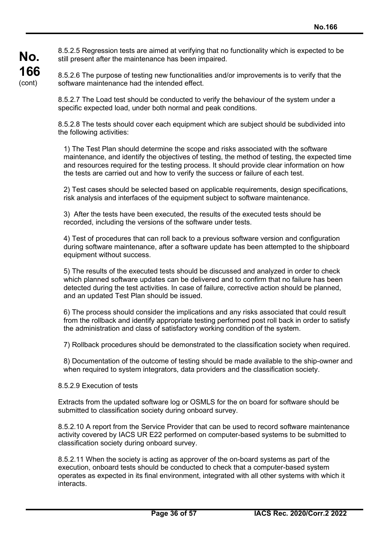8.5.2.5 Regression tests are aimed at verifying that no functionality which is expected to be still present after the maintenance has been impaired.

8.5.2.6 The purpose of testing new functionalities and/or improvements is to verify that the software maintenance had the intended effect.

8.5.2.7 The Load test should be conducted to verify the behaviour of the system under a specific expected load, under both normal and peak conditions.

8.5.2.8 The tests should cover each equipment which are subject should be subdivided into the following activities:

1) The Test Plan should determine the scope and risks associated with the software maintenance, and identify the objectives of testing, the method of testing, the expected time and resources required for the testing process. It should provide clear information on how the tests are carried out and how to verify the success or failure of each test.

2) Test cases should be selected based on applicable requirements, design specifications, risk analysis and interfaces of the equipment subject to software maintenance.

3) After the tests have been executed, the results of the executed tests should be recorded, including the versions of the software under tests.

4) Test of procedures that can roll back to a previous software version and configuration during software maintenance, after a software update has been attempted to the shipboard equipment without success.

5) The results of the executed tests should be discussed and analyzed in order to check which planned software updates can be delivered and to confirm that no failure has been detected during the test activities. In case of failure, corrective action should be planned, and an updated Test Plan should be issued.

6) The process should consider the implications and any risks associated that could result from the rollback and identify appropriate testing performed post roll back in order to satisfy the administration and class of satisfactory working condition of the system.

7) Rollback procedures should be demonstrated to the classification society when required.

8) Documentation of the outcome of testing should be made available to the ship-owner and when required to system integrators, data providers and the classification society.

#### 8.5.2.9 Execution of tests

**No.**

**166** (cont)

> Extracts from the updated software log or OSMLS for the on board for software should be submitted to classification society during onboard survey.

8.5.2.10 A report from the Service Provider that can be used to record software maintenance activity covered by IACS UR E22 performed on computer-based systems to be submitted to classification society during onboard survey.

8.5.2.11 When the society is acting as approver of the on-board systems as part of the execution, onboard tests should be conducted to check that a computer-based system operates as expected in its final environment, integrated with all other systems with which it interacts.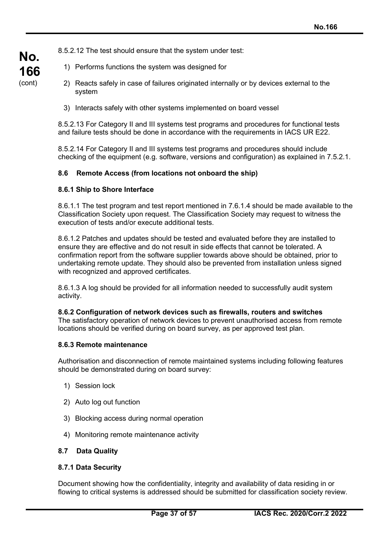8.5.2.12 The test should ensure that the system under test:

- 1) Performs functions the system was designed for
- 2) Reacts safely in case of failures originated internally or by devices external to the system
- 3) Interacts safely with other systems implemented on board vessel

8.5.2.13 For Category II and III systems test programs and procedures for functional tests and failure tests should be done in accordance with the requirements in IACS UR E22.

8.5.2.14 For Category II and III systems test programs and procedures should include checking of the equipment (e.g. software, versions and configuration) as explained in 7.5.2.1.

#### **8.6 Remote Access (from locations not onboard the ship)**

#### **8.6.1 Ship to Shore Interface**

**No.**

**166** (cont)

> 8.6.1.1 The test program and test report mentioned in 7.6.1.4 should be made available to the Classification Society upon request. The Classification Society may request to witness the execution of tests and/or execute additional tests.

8.6.1.2 Patches and updates should be tested and evaluated before they are installed to ensure they are effective and do not result in side effects that cannot be tolerated. A confirmation report from the software supplier towards above should be obtained, prior to undertaking remote update. They should also be prevented from installation unless signed with recognized and approved certificates.

8.6.1.3 A log should be provided for all information needed to successfully audit system activity.

#### **8.6.2 Configuration of network devices such as firewalls, routers and switches**

The satisfactory operation of network devices to prevent unauthorised access from remote locations should be verified during on board survey, as per approved test plan.

#### **8.6.3 Remote maintenance**

Authorisation and disconnection of remote maintained systems including following features should be demonstrated during on board survey:

- 1) Session lock
- 2) Auto log out function
- 3) Blocking access during normal operation
- 4) Monitoring remote maintenance activity

#### **8.7 Data Quality**

#### **8.7.1 Data Security**

Document showing how the confidentiality, integrity and availability of data residing in or flowing to critical systems is addressed should be submitted for classification society review.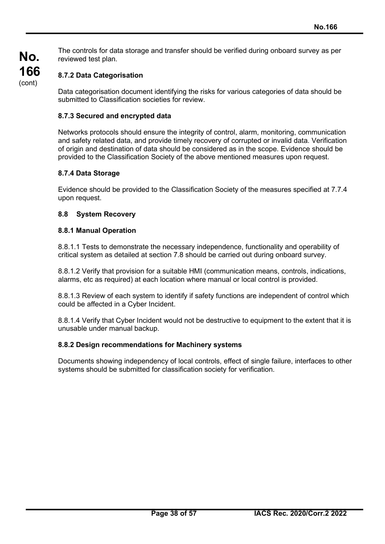The controls for data storage and transfer should be verified during onboard survey as per reviewed test plan.

## **8.7.2 Data Categorisation**

Data categorisation document identifying the risks for various categories of data should be submitted to Classification societies for review.

#### **8.7.3 Secured and encrypted data**

Networks protocols should ensure the integrity of control, alarm, monitoring, communication and safety related data, and provide timely recovery of corrupted or invalid data. Verification of origin and destination of data should be considered as in the scope. Evidence should be provided to the Classification Society of the above mentioned measures upon request.

#### **8.7.4 Data Storage**

Evidence should be provided to the Classification Society of the measures specified at 7.7.4 upon request.

#### **8.8 System Recovery**

#### **8.8.1 Manual Operation**

8.8.1.1 Tests to demonstrate the necessary independence, functionality and operability of critical system as detailed at section 7.8 should be carried out during onboard survey.

8.8.1.2 Verify that provision for a suitable HMI (communication means, controls, indications, alarms, etc as required) at each location where manual or local control is provided.

8.8.1.3 Review of each system to identify if safety functions are independent of control which could be affected in a Cyber Incident.

8.8.1.4 Verify that Cyber Incident would not be destructive to equipment to the extent that it is unusable under manual backup.

#### **8.8.2 Design recommendations for Machinery systems**

Documents showing independency of local controls, effect of single failure, interfaces to other systems should be submitted for classification society for verification.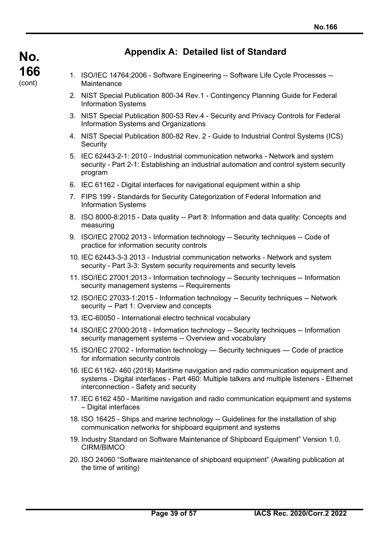## **Appendix A: Detailed list of Standard**

- 1. ISO/IEC 14764:2006 Software Engineering -- Software Life Cycle Processes -- Maintenance
- 2. NIST Special Publication 800-34 Rev.1 Contingency Planning Guide for Federal Information Systems
- 3. NIST Special Publication 800-53 Rev.4 Security and Privacy Controls for Federal Information Systems and Organizations
- 4. NIST Special Publication 800-82 Rev. 2 Guide to Industrial Control Systems (ICS) **Security**
- 5. IEC 62443-2-1: 2010 Industrial communication networks Network and system security - Part 2-1: Establishing an industrial automation and control system security program
- 6. IEC 61162 Digital interfaces for navigational equipment within a ship
- 7. FIPS 199 Standards for Security Categorization of Federal Information and Information Systems
- 8. ISO 8000-8:2015 Data quality -- Part 8: Information and data quality: Concepts and measuring
- 9. ISO/IEC 27002 2013 Information technology -- Security techniques -- Code of practice for information security controls
- 10. IEC 62443-3-3 2013 Industrial communication networks Network and system security - Part 3-3: System security requirements and security levels
- 11. ISO/IEC 27001:2013 Information technology -- Security techniques -- Information security management systems -- Requirements
- 12. ISO/IEC 27033-1:2015 Information technology -- Security techniques -- Network security -- Part 1: Overview and concepts
- 13. IEC-60050 International electro technical vocabulary
- 14. ISO/IEC 27000:2018 Information technology -- Security techniques -- Information security management systems -- Overview and vocabulary
- 15. ISO/IEC 27002 Information technology Security techniques Code of practice for information security controls
- 16. IEC 61162- 460 (2018) Maritime navigation and radio communication equipment and systems - Digital interfaces - Part 460: Multiple talkers and multiple listeners - Ethernet interconnection - Safety and security
- 17. IEC 6162 450 Maritime navigation and radio communication equipment and systems – Digital interfaces
- 18. ISO 16425 Ships and marine technology -- Guidelines for the installation of ship communication networks for shipboard equipment and systems
- 19. Industry Standard on Software Maintenance of Shipboard Equipment" Version 1.0. CIRM/BIMCO
- 20. ISO 24060 "Software maintenance of shipboard equipment" (Awaiting publication at the time of writing)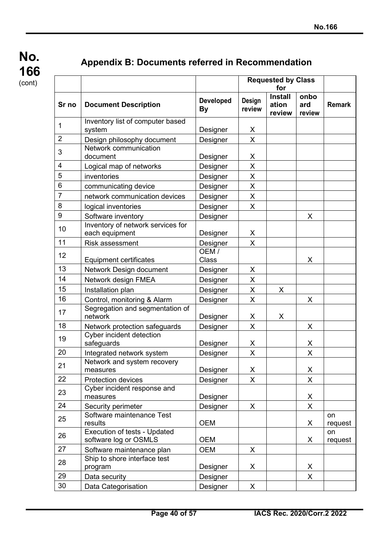**No. 166** (cont)

## **Appendix B: Documents referred in Recommendation**

|                         |                                                              |                               | <b>Requested by Class</b> |                                   |                       |               |
|-------------------------|--------------------------------------------------------------|-------------------------------|---------------------------|-----------------------------------|-----------------------|---------------|
| Sr no                   | <b>Document Description</b>                                  | <b>Developed</b><br><b>By</b> | Design<br>review          | <b>Install</b><br>ation<br>review | onbo<br>ard<br>review | <b>Remark</b> |
| 1                       | Inventory list of computer based                             |                               |                           |                                   |                       |               |
| $\overline{2}$          | system<br>Design philosophy document                         | Designer                      | X<br>$\overline{X}$       |                                   |                       |               |
| 3                       | Network communication<br>document                            | Designer                      |                           |                                   |                       |               |
| $\overline{\mathbf{4}}$ | Logical map of networks                                      | Designer<br>Designer          | X<br>X                    |                                   |                       |               |
| 5                       | inventories                                                  |                               | X                         |                                   |                       |               |
| 6                       |                                                              | Designer                      | X                         |                                   |                       |               |
| $\overline{7}$          | communicating device<br>network communication devices        | Designer                      | X                         |                                   |                       |               |
| 8                       |                                                              | Designer                      |                           |                                   |                       |               |
| 9                       | logical inventories                                          | Designer                      | X                         |                                   |                       |               |
|                         | Software inventory                                           | Designer                      |                           |                                   | X                     |               |
| 10                      | Inventory of network services for<br>each equipment          | Designer                      | X                         |                                   |                       |               |
| 11                      | Risk assessment                                              | Designer                      | X                         |                                   |                       |               |
| 12                      | <b>Equipment certificates</b>                                | OEM/<br>Class                 |                           |                                   | X                     |               |
| 13                      | Network Design document                                      | Designer                      | X                         |                                   |                       |               |
| 14                      | Network design FMEA                                          | Designer                      | X                         |                                   |                       |               |
| 15                      | Installation plan                                            | Designer                      | X                         | X                                 |                       |               |
| 16                      | Control, monitoring & Alarm                                  | Designer                      | X                         |                                   | X                     |               |
| 17                      | Segregation and segmentation of<br>network                   | Designer                      | X                         | X                                 |                       |               |
| 18                      | Network protection safeguards                                | Designer                      | X.                        |                                   | X                     |               |
| 19                      | Cyber incident detection<br>safeguards                       | Designer                      | X                         |                                   | X                     |               |
| 20                      | Integrated network system                                    | <b>Designer</b>               | X                         |                                   | X                     |               |
| 21                      | Network and system recovery<br>measures                      | Designer                      | X                         |                                   | X                     |               |
| 22                      | Protection devices                                           | Designer                      | X                         |                                   | X                     |               |
| 23                      | Cyber incident response and<br>measures                      | Designer                      |                           |                                   | X                     |               |
| 24                      | Security perimeter                                           | Designer                      | X                         |                                   | $\mathsf{X}$          |               |
| 25                      | Software maintenance Test<br>results                         | <b>OEM</b>                    |                           |                                   | X                     | on<br>request |
| 26                      | <b>Execution of tests - Updated</b><br>software log or OSMLS | <b>OEM</b>                    |                           |                                   | X                     | on<br>request |
| 27                      | Software maintenance plan                                    | <b>OEM</b>                    | X                         |                                   |                       |               |
| 28                      | Ship to shore interface test<br>program                      | Designer                      | X                         |                                   | X                     |               |
| 29                      | Data security                                                | Designer                      |                           |                                   | X                     |               |
| 30                      | Data Categorisation                                          | Designer                      | X                         |                                   |                       |               |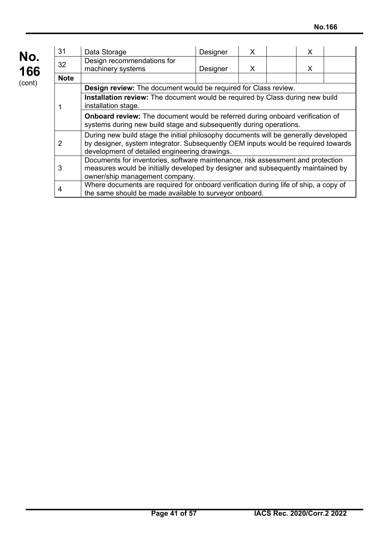| No.<br>166 | 31             | Data Storage                                                                                                                                                                                                              | Designer | X |  | X |  |  |
|------------|----------------|---------------------------------------------------------------------------------------------------------------------------------------------------------------------------------------------------------------------------|----------|---|--|---|--|--|
|            | 32             | Design recommendations for<br>machinery systems                                                                                                                                                                           | Designer | X |  | X |  |  |
| (cont)     | <b>Note</b>    |                                                                                                                                                                                                                           |          |   |  |   |  |  |
|            |                | Design review: The document would be required for Class review.                                                                                                                                                           |          |   |  |   |  |  |
|            |                | Installation review: The document would be required by Class during new build<br>installation stage.                                                                                                                      |          |   |  |   |  |  |
|            |                | <b>Onboard review:</b> The document would be referred during onboard verification of<br>systems during new build stage and subsequently during operations.                                                                |          |   |  |   |  |  |
|            | $\overline{2}$ | During new build stage the initial philosophy documents will be generally developed<br>by designer, system integrator. Subsequently OEM inputs would be required towards<br>development of detailed engineering drawings. |          |   |  |   |  |  |
|            | 3              | Documents for inventories, software maintenance, risk assessment and protection<br>measures would be initially developed by designer and subsequently maintained by<br>owner/ship management company.                     |          |   |  |   |  |  |
|            | 4              | Where documents are required for onboard verification during life of ship, a copy of<br>the same should be made available to surveyor onboard.                                                                            |          |   |  |   |  |  |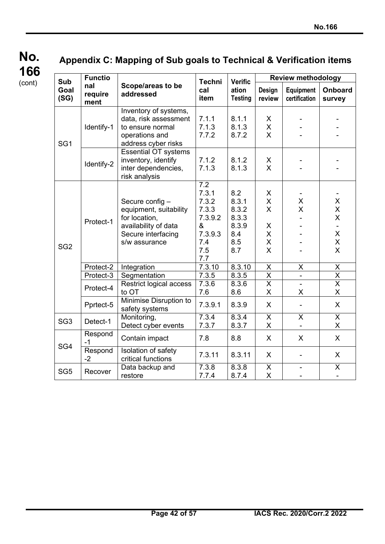## **No. 166** (cont)

## **Appendix C: Mapping of Sub goals to Technical & Verification items**

| <b>Sub</b>                         | <b>Functio</b><br>nal<br>require<br>ment | Scope/areas to be<br>addressed                                                                                           | <b>Techni</b><br>cal<br>item                                                                | <b>Verific</b><br>ation<br><b>Testing</b>                    | <b>Review methodology</b>                                   |                            |                              |  |
|------------------------------------|------------------------------------------|--------------------------------------------------------------------------------------------------------------------------|---------------------------------------------------------------------------------------------|--------------------------------------------------------------|-------------------------------------------------------------|----------------------------|------------------------------|--|
| Goal<br>(SG)                       |                                          |                                                                                                                          |                                                                                             |                                                              | Design<br>review                                            | Equipment<br>certification | <b>Onboard</b><br>survey     |  |
| SG <sub>1</sub><br>SG <sub>2</sub> | Identify-1                               | Inventory of systems,<br>data, risk assessment<br>to ensure normal<br>operations and<br>address cyber risks              | 7.1.1<br>7.1.3<br>7.7.2                                                                     | 8.1.1<br>8.1.3<br>8.7.2                                      | X<br>$\sf X$<br>$\mathsf{X}$                                |                            |                              |  |
|                                    | Identify-2                               | <b>Essential OT systems</b><br>inventory, identify<br>inter dependencies,<br>risk analysis                               | 7.1.2<br>7.1.3                                                                              | 8.1.2<br>8.1.3                                               | X<br>$\mathsf{X}$                                           |                            |                              |  |
|                                    | Protect-1                                | Secure config-<br>equipment, suitability<br>for location.<br>availability of data<br>Secure interfacing<br>s/w assurance | $\overline{7.2}$<br>7.3.1<br>7.3.2<br>7.3.3<br>7.3.9.2<br>&<br>7.3.9.3<br>7.4<br>7.5<br>7.7 | 8.2<br>8.3.1<br>8.3.2<br>8.3.3<br>8.3.9<br>8.4<br>8.5<br>8.7 | X<br>$\sf X$<br>$\mathsf{X}$<br>X<br>X<br>X<br>$\mathsf{X}$ | Χ<br>X                     | X<br>X<br>X<br>X<br>X<br>X   |  |
|                                    | Protect-2                                | Integration                                                                                                              | 7.3.10                                                                                      | 8.3.10                                                       | X                                                           | X                          | X                            |  |
|                                    | Protect-3                                | Segmentation                                                                                                             | 7.3.5                                                                                       | 8.3.5                                                        | $\overline{X}$                                              | $\overline{\phantom{0}}$   | X                            |  |
|                                    | Protect-4                                | Restrict logical access<br>to OT                                                                                         | 7.3.6<br>7.6                                                                                | 8.3.6<br>8.6                                                 | $\overline{\mathsf{x}}$<br>X                                | ÷.<br>X.                   | $\overline{\mathsf{x}}$<br>X |  |
|                                    | Pprtect-5                                | Minimise Disruption to<br>safety systems                                                                                 | 7.3.9.1                                                                                     | 8.3.9                                                        | $\mathsf{X}$                                                |                            | X                            |  |
| SG <sub>3</sub>                    | Detect-1                                 | Monitoring,<br>Detect cyber events                                                                                       | 7.3.4<br>7.3.7                                                                              | 8.3.4<br>8.3.7                                               | X<br>X                                                      | $\overline{\mathsf{X}}$    | $\mathsf{X}$<br>X            |  |
|                                    | Respond<br>$-1$                          | Contain impact                                                                                                           | 7.8                                                                                         | 8.8                                                          | $\mathsf{X}$                                                | $\mathsf{X}$               | $\mathsf{X}$                 |  |
| SG4                                | Respond<br>$-2$                          | Isolation of safety<br>critical functions                                                                                | 7.3.11                                                                                      | 8.3.11                                                       | X                                                           |                            | X                            |  |
| SG <sub>5</sub>                    | Recover                                  | Data backup and<br>restore                                                                                               | 7.3.8<br>7.7.4                                                                              | 8.3.8<br>8.7.4                                               | $\pmb{\mathsf{X}}$<br>X                                     |                            | X                            |  |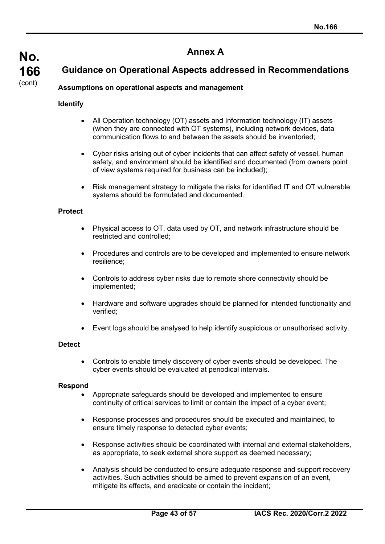## **Annex A**

## **Guidance on Operational Aspects addressed in Recommendations**

## **Identify**

**No.**

**166** (cont)

- All Operation technology (OT) assets and Information technology (IT) assets (when they are connected with OT systems), including network devices, data communication flows to and between the assets should be inventoried;
- Cyber risks arising out of cyber incidents that can affect safety of vessel, human safety, and environment should be identified and documented (from owners point of view systems required for business can be included);
- Risk management strategy to mitigate the risks for identified IT and OT vulnerable systems should be formulated and documented.

#### **Protect**

- Physical access to OT, data used by OT, and network infrastructure should be restricted and controlled;
- Procedures and controls are to be developed and implemented to ensure network resilience;
- Controls to address cyber risks due to remote shore connectivity should be implemented;
- Hardware and software upgrades should be planned for intended functionality and verified;
- Event logs should be analysed to help identify suspicious or unauthorised activity.

#### **Detect**

• Controls to enable timely discovery of cyber events should be developed. The cyber events should be evaluated at periodical intervals.

#### **Respond**

- Appropriate safeguards should be developed and implemented to ensure continuity of critical services to limit or contain the impact of a cyber event;
- Response processes and procedures should be executed and maintained, to ensure timely response to detected cyber events;
- Response activities should be coordinated with internal and external stakeholders, as appropriate, to seek external shore support as deemed necessary;
- Analysis should be conducted to ensure adequate response and support recovery activities. Such activities should be aimed to prevent expansion of an event, mitigate its effects, and eradicate or contain the incident;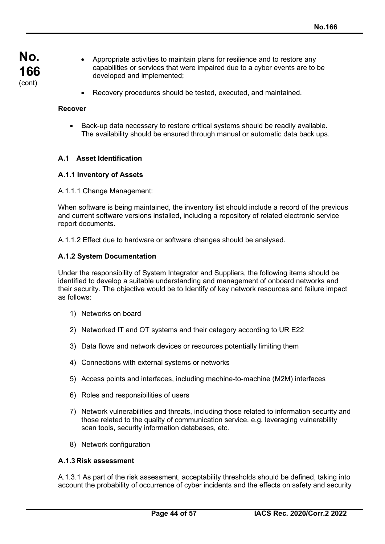- Appropriate activities to maintain plans for resilience and to restore any capabilities or services that were impaired due to a cyber events are to be developed and implemented;
	- Recovery procedures should be tested, executed, and maintained.

#### **Recover**

• Back-up data necessary to restore critical systems should be readily available. The availability should be ensured through manual or automatic data back ups.

#### **A.1 Asset Identification**

#### **A.1.1 Inventory of Assets**

A.1.1.1 Change Management:

When software is being maintained, the inventory list should include a record of the previous and current software versions installed, including a repository of related electronic service report documents.

A.1.1.2 Effect due to hardware or software changes should be analysed.

#### **A.1.2 System Documentation**

Under the responsibility of System Integrator and Suppliers, the following items should be identified to develop a suitable understanding and management of onboard networks and their security. The objective would be to Identify of key network resources and failure impact as follows:

- 1) Networks on board
- 2) Networked IT and OT systems and their category according to UR E22
- 3) Data flows and network devices or resources potentially limiting them
- 4) Connections with external systems or networks
- 5) Access points and interfaces, including machine-to-machine (M2M) interfaces
- 6) Roles and responsibilities of users
- 7) Network vulnerabilities and threats, including those related to information security and those related to the quality of communication service, e.g. leveraging vulnerability scan tools, security information databases, etc.
- 8) Network configuration

#### **A.1.3 Risk assessment**

A.1.3.1 As part of the risk assessment, acceptability thresholds should be defined, taking into account the probability of occurrence of cyber incidents and the effects on safety and security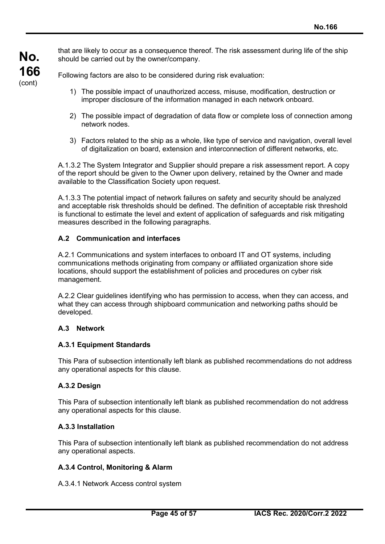**No. 166** (cont)

that are likely to occur as a consequence thereof. The risk assessment during life of the ship should be carried out by the owner/company.

Following factors are also to be considered during risk evaluation:

- 1) The possible impact of unauthorized access, misuse, modification, destruction or improper disclosure of the information managed in each network onboard.
- 2) The possible impact of degradation of data flow or complete loss of connection among network nodes.
- 3) Factors related to the ship as a whole, like type of service and navigation, overall level of digitalization on board, extension and interconnection of different networks, etc.

A.1.3.2 The System Integrator and Supplier should prepare a risk assessment report. A copy of the report should be given to the Owner upon delivery, retained by the Owner and made available to the Classification Society upon request.

A.1.3.3 The potential impact of network failures on safety and security should be analyzed and acceptable risk thresholds should be defined. The definition of acceptable risk threshold is functional to estimate the level and extent of application of safeguards and risk mitigating measures described in the following paragraphs.

## **A.2 Communication and interfaces**

A.2.1 Communications and system interfaces to onboard IT and OT systems, including communications methods originating from company or affiliated organization shore side locations, should support the establishment of policies and procedures on cyber risk management.

A.2.2 Clear guidelines identifying who has permission to access, when they can access, and what they can access through shipboard communication and networking paths should be developed.

## **A.3 Network**

## **A.3.1 Equipment Standards**

This Para of subsection intentionally left blank as published recommendations do not address any operational aspects for this clause.

## **A.3.2 Design**

This Para of subsection intentionally left blank as published recommendation do not address any operational aspects for this clause.

## **A.3.3 Installation**

This Para of subsection intentionally left blank as published recommendation do not address any operational aspects.

#### **A.3.4 Control, Monitoring & Alarm**

A.3.4.1 Network Access control system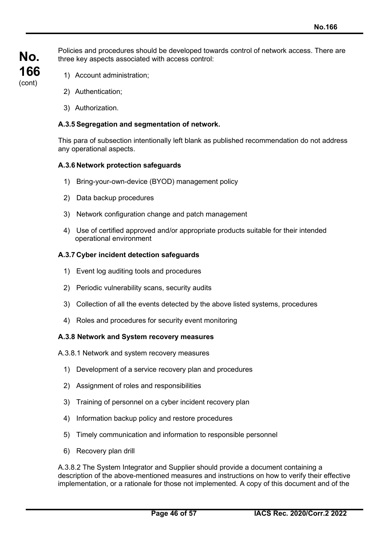**No. 166** (cont)

Policies and procedures should be developed towards control of network access. There are three key aspects associated with access control:

- 1) Account administration;
- 2) Authentication;
- 3) Authorization.

#### **A.3.5 Segregation and segmentation of network.**

This para of subsection intentionally left blank as published recommendation do not address any operational aspects.

#### **A.3.6 Network protection safeguards**

- 1) Bring-your-own-device (BYOD) management policy
- 2) Data backup procedures
- 3) Network configuration change and patch management
- 4) Use of certified approved and/or appropriate products suitable for their intended operational environment

#### **A.3.7 Cyber incident detection safeguards**

- 1) Event log auditing tools and procedures
- 2) Periodic vulnerability scans, security audits
- 3) Collection of all the events detected by the above listed systems, procedures
- 4) Roles and procedures for security event monitoring

#### **A.3.8 Network and System recovery measures**

A.3.8.1 Network and system recovery measures

- 1) Development of a service recovery plan and procedures
- 2) Assignment of roles and responsibilities
- 3) Training of personnel on a cyber incident recovery plan
- 4) Information backup policy and restore procedures
- 5) Timely communication and information to responsible personnel
- 6) Recovery plan drill

A.3.8.2 The System Integrator and Supplier should provide a document containing a description of the above-mentioned measures and instructions on how to verify their effective implementation, or a rationale for those not implemented. A copy of this document and of the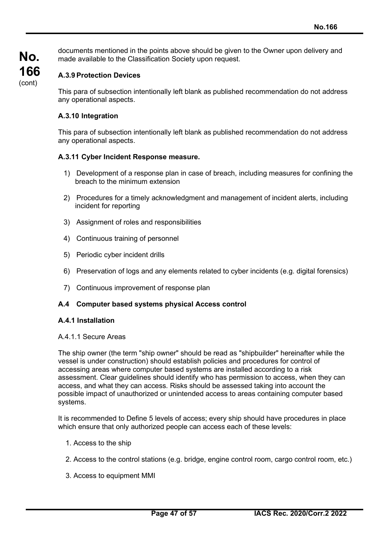documents mentioned in the points above should be given to the Owner upon delivery and made available to the Classification Society upon request.

## **A.3.9 Protection Devices**

This para of subsection intentionally left blank as published recommendation do not address any operational aspects.

#### **A.3.10 Integration**

This para of subsection intentionally left blank as published recommendation do not address any operational aspects.

#### **A.3.11 Cyber Incident Response measure.**

- 1) Development of a response plan in case of breach, including measures for confining the breach to the minimum extension
- 2) Procedures for a timely acknowledgment and management of incident alerts, including incident for reporting
- 3) Assignment of roles and responsibilities
- 4) Continuous training of personnel
- 5) Periodic cyber incident drills
- 6) Preservation of logs and any elements related to cyber incidents (e.g. digital forensics)
- 7) Continuous improvement of response plan

#### **A.4 Computer based systems physical Access control**

#### **A.4.1 Installation**

#### A.4.1.1 Secure Areas

The ship owner (the term "ship owner" should be read as "shipbuilder" hereinafter while the vessel is under construction) should establish policies and procedures for control of accessing areas where computer based systems are installed according to a risk assessment. Clear guidelines should identify who has permission to access, when they can access, and what they can access. Risks should be assessed taking into account the possible impact of unauthorized or unintended access to areas containing computer based systems.

It is recommended to Define 5 levels of access; every ship should have procedures in place which ensure that only authorized people can access each of these levels:

- 1. Access to the ship
- 2. Access to the control stations (e.g. bridge, engine control room, cargo control room, etc.)
- 3. Access to equipment MMI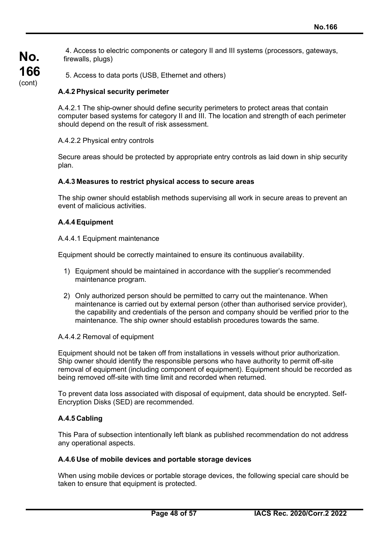4. Access to electric components or category II and III systems (processors, gateways, firewalls, plugs)

5. Access to data ports (USB, Ethernet and others)

#### **A.4.2 Physical security perimeter**

A.4.2.1 The ship-owner should define security perimeters to protect areas that contain computer based systems for category II and III. The location and strength of each perimeter should depend on the result of risk assessment.

#### A.4.2.2 Physical entry controls

Secure areas should be protected by appropriate entry controls as laid down in ship security plan.

#### **A.4.3 Measures to restrict physical access to secure areas**

The ship owner should establish methods supervising all work in secure areas to prevent an event of malicious activities.

#### **A.4.4 Equipment**

**No.**

**166** (cont)

#### A.4.4.1 Equipment maintenance

Equipment should be correctly maintained to ensure its continuous availability.

- 1) Equipment should be maintained in accordance with the supplier's recommended maintenance program.
- 2) Only authorized person should be permitted to carry out the maintenance. When maintenance is carried out by external person (other than authorised service provider), the capability and credentials of the person and company should be verified prior to the maintenance. The ship owner should establish procedures towards the same.

#### A.4.4.2 Removal of equipment

Equipment should not be taken off from installations in vessels without prior authorization. Ship owner should identify the responsible persons who have authority to permit off-site removal of equipment (including component of equipment). Equipment should be recorded as being removed off-site with time limit and recorded when returned.

To prevent data loss associated with disposal of equipment, data should be encrypted. Self-Encryption Disks (SED) are recommended.

#### **A.4.5 Cabling**

This Para of subsection intentionally left blank as published recommendation do not address any operational aspects.

#### **A.4.6 Use of mobile devices and portable storage devices**

When using mobile devices or portable storage devices, the following special care should be taken to ensure that equipment is protected.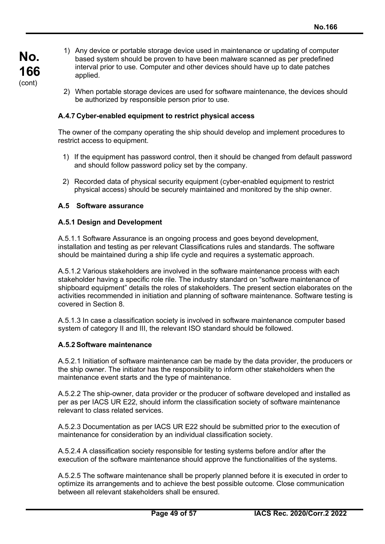- **No. 166** (cont)
- 1) Any device or portable storage device used in maintenance or updating of computer based system should be proven to have been malware scanned as per predefined interval prior to use. Computer and other devices should have up to date patches applied.
- 2) When portable storage devices are used for software maintenance, the devices should be authorized by responsible person prior to use.

## **A.4.7 Cyber-enabled equipment to restrict physical access**

The owner of the company operating the ship should develop and implement procedures to restrict access to equipment.

- 1) If the equipment has password control, then it should be changed from default password and should follow password policy set by the company.
- 2) Recorded data of physical security equipment (cyber-enabled equipment to restrict physical access) should be securely maintained and monitored by the ship owner.

#### **A.5 Software assurance**

#### **A.5.1 Design and Development**

A.5.1.1 Software Assurance is an ongoing process and goes beyond development, installation and testing as per relevant Classifications rules and standards. The software should be maintained during a ship life cycle and requires a systematic approach.

A.5.1.2 Various stakeholders are involved in the software maintenance process with each stakeholder having a specific role rile. The industry standard on "software maintenance of shipboard equipment" details the roles of stakeholders. The present section elaborates on the activities recommended in initiation and planning of software maintenance. Software testing is covered in Section 8.

A.5.1.3 In case a classification society is involved in software maintenance computer based system of category II and III, the relevant ISO standard should be followed.

#### **A.5.2 Software maintenance**

A.5.2.1 Initiation of software maintenance can be made by the data provider, the producers or the ship owner. The initiator has the responsibility to inform other stakeholders when the maintenance event starts and the type of maintenance.

A.5.2.2 The ship-owner, data provider or the producer of software developed and installed as per as per IACS UR E22, should inform the classification society of software maintenance relevant to class related services.

A.5.2.3 Documentation as per IACS UR E22 should be submitted prior to the execution of maintenance for consideration by an individual classification society.

A.5.2.4 A classification society responsible for testing systems before and/or after the execution of the software maintenance should approve the functionalities of the systems.

A.5.2.5 The software maintenance shall be properly planned before it is executed in order to optimize its arrangements and to achieve the best possible outcome. Close communication between all relevant stakeholders shall be ensured.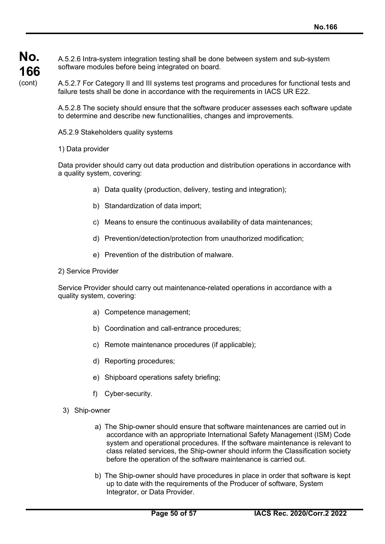A.5.2.6 Intra-system integration testing shall be done between system and sub-system software modules before being integrated on board.

A.5.2.7 For Category II and III systems test programs and procedures for functional tests and failure tests shall be done in accordance with the requirements in IACS UR E22.

A.5.2.8 The society should ensure that the software producer assesses each software update to determine and describe new functionalities, changes and improvements.

A5.2.9 Stakeholders quality systems

#### 1) Data provider

Data provider should carry out data production and distribution operations in accordance with a quality system, covering:

- a) Data quality (production, delivery, testing and integration);
- b) Standardization of data import;
- c) Means to ensure the continuous availability of data maintenances;
- d) Prevention/detection/protection from unauthorized modification;
- e) Prevention of the distribution of malware.

#### 2) Service Provider

Service Provider should carry out maintenance-related operations in accordance with a quality system, covering:

- a) Competence management;
- b) Coordination and call-entrance procedures;
- c) Remote maintenance procedures (if applicable);
- d) Reporting procedures;
- e) Shipboard operations safety briefing;
- f) Cyber-security.
- 3) Ship-owner
	- a) The Ship-owner should ensure that software maintenances are carried out in accordance with an appropriate International Safety Management (ISM) Code system and operational procedures. If the software maintenance is relevant to class related services, the Ship-owner should inform the Classification society before the operation of the software maintenance is carried out.
	- b) The Ship-owner should have procedures in place in order that software is kept up to date with the requirements of the Producer of software, System Integrator, or Data Provider.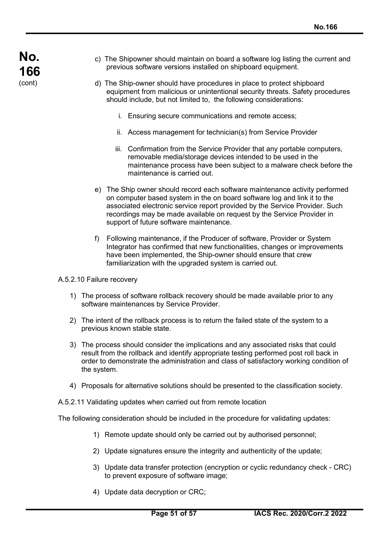**No. 166** (cont)

- c) The Shipowner should maintain on board a software log listing the current and previous software versions installed on shipboard equipment.
- d) The Ship-owner should have procedures in place to protect shipboard equipment from malicious or unintentional security threats. Safety procedures should include, but not limited to, the following considerations:
	- i. Ensuring secure communications and remote access;
	- ii. Access management for technician(s) from Service Provider
	- iii. Confirmation from the Service Provider that any portable computers, removable media/storage devices intended to be used in the maintenance process have been subject to a malware check before the maintenance is carried out.
- e) The Ship owner should record each software maintenance activity performed on computer based system in the on board software log and link it to the associated electronic service report provided by the Service Provider. Such recordings may be made available on request by the Service Provider in support of future software maintenance.
- f) Following maintenance, if the Producer of software, Provider or System Integrator has confirmed that new functionalities, changes or improvements have been implemented, the Ship-owner should ensure that crew familiarization with the upgraded system is carried out.

A.5.2.10 Failure recovery

- 1) The process of software rollback recovery should be made available prior to any software maintenances by Service Provider.
- 2) The intent of the rollback process is to return the failed state of the system to a previous known stable state.
- 3) The process should consider the implications and any associated risks that could result from the rollback and identify appropriate testing performed post roll back in order to demonstrate the administration and class of satisfactory working condition of the system.
- 4) Proposals for alternative solutions should be presented to the classification society.
- A.5.2.11 Validating updates when carried out from remote location

The following consideration should be included in the procedure for validating updates:

- 1) Remote update should only be carried out by authorised personnel;
- 2) Update signatures ensure the integrity and authenticity of the update;
- 3) Update data transfer protection (encryption or cyclic redundancy check CRC) to prevent exposure of software image;
- 4) Update data decryption or CRC;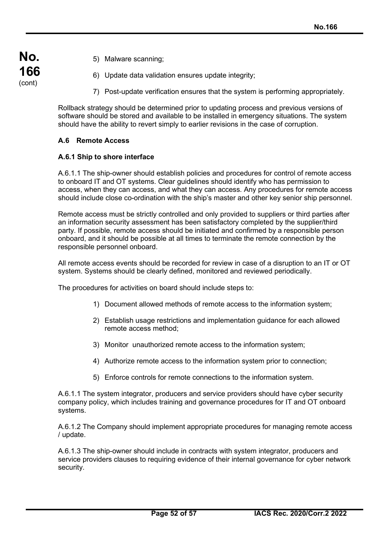- **No. 166** (cont)
- 5) Malware scanning;
- 6) Update data validation ensures update integrity;
- 7) Post-update verification ensures that the system is performing appropriately.

Rollback strategy should be determined prior to updating process and previous versions of software should be stored and available to be installed in emergency situations. The system should have the ability to revert simply to earlier revisions in the case of corruption.

## **A.6 Remote Access**

#### **A.6.1 Ship to shore interface**

A.6.1.1 The ship-owner should establish policies and procedures for control of remote access to onboard IT and OT systems. Clear guidelines should identify who has permission to access, when they can access, and what they can access. Any procedures for remote access should include close co-ordination with the ship's master and other key senior ship personnel.

Remote access must be strictly controlled and only provided to suppliers or third parties after an information security assessment has been satisfactory completed by the supplier/third party. If possible, remote access should be initiated and confirmed by a responsible person onboard, and it should be possible at all times to terminate the remote connection by the responsible personnel onboard.

All remote access events should be recorded for review in case of a disruption to an IT or OT system. Systems should be clearly defined, monitored and reviewed periodically.

The procedures for activities on board should include steps to:

- 1) Document allowed methods of remote access to the information system;
- 2) Establish usage restrictions and implementation guidance for each allowed remote access method;
- 3) Monitor unauthorized remote access to the information system;
- 4) Authorize remote access to the information system prior to connection;
- 5) Enforce controls for remote connections to the information system.

A.6.1.1 The system integrator, producers and service providers should have cyber security company policy, which includes training and governance procedures for IT and OT onboard systems.

A.6.1.2 The Company should implement appropriate procedures for managing remote access / update.

A.6.1.3 The ship-owner should include in contracts with system integrator, producers and service providers clauses to requiring evidence of their internal governance for cyber network security.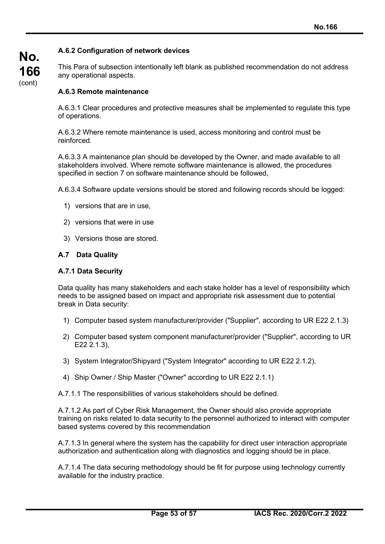## **A.6.2 Configuration of network devices**

This Para of subsection intentionally left blank as published recommendation do not address any operational aspects.

#### **A.6.3 Remote maintenance**

A.6.3.1 Clear procedures and protective measures shall be implemented to regulate this type of operations.

A.6.3.2 Where remote maintenance is used, access monitoring and control must be reinforced.

A.6.3.3 A maintenance plan should be developed by the Owner, and made available to all stakeholders involved. Where remote software maintenance is allowed, the procedures specified in section 7 on software maintenance should be followed,

A.6.3.4 Software update versions should be stored and following records should be logged:

- 1) versions that are in use,
- 2) versions that were in use
- 3) Versions those are stored.

#### **A.7 Data Quality**

#### **A.7.1 Data Security**

Data quality has many stakeholders and each stake holder has a level of responsibility which needs to be assigned based on impact and appropriate risk assessment due to potential break in Data security:

- 1) Computer based system manufacturer/provider ("Supplier", according to UR E22 2.1.3)
- 2) Computer based system component manufacturer/provider ("Supplier", according to UR E22 2.1.3),
- 3) System Integrator/Shipyard ("System Integrator" according to UR E22 2.1.2),
- 4) Ship Owner / Ship Master ("Owner" according to UR E22 2.1.1)

A.7.1.1 The responsibilities of various stakeholders should be defined.

A.7.1.2 As part of Cyber Risk Management, the Owner should also provide appropriate training on risks related to data security to the personnel authorized to interact with computer based systems covered by this recommendation

A.7.1.3 In general where the system has the capability for direct user interaction appropriate authorization and authentication along with diagnostics and logging should be in place.

A.7.1.4 The data securing methodology should be fit for purpose using technology currently available for the industry practice.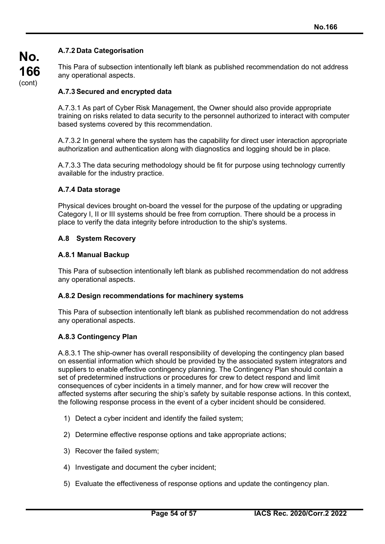## **A.7.2 Data Categorisation**

This Para of subsection intentionally left blank as published recommendation do not address any operational aspects.

## **A.7.3 Secured and encrypted data**

A.7.3.1 As part of Cyber Risk Management, the Owner should also provide appropriate training on risks related to data security to the personnel authorized to interact with computer based systems covered by this recommendation.

A.7.3.2 In general where the system has the capability for direct user interaction appropriate authorization and authentication along with diagnostics and logging should be in place.

A.7.3.3 The data securing methodology should be fit for purpose using technology currently available for the industry practice.

#### **A.7.4 Data storage**

Physical devices brought on-board the vessel for the purpose of the updating or upgrading Category I, II or III systems should be free from corruption. There should be a process in place to verify the data integrity before introduction to the ship's systems.

#### **A.8 System Recovery**

#### **A.8.1 Manual Backup**

This Para of subsection intentionally left blank as published recommendation do not address any operational aspects.

#### **A.8.2 Design recommendations for machinery systems**

This Para of subsection intentionally left blank as published recommendation do not address any operational aspects.

## **A.8.3 Contingency Plan**

A.8.3.1 The ship-owner has overall responsibility of developing the contingency plan based on essential information which should be provided by the associated system integrators and suppliers to enable effective contingency planning. The Contingency Plan should contain a set of predetermined instructions or procedures for crew to detect respond and limit consequences of cyber incidents in a timely manner, and for how crew will recover the affected systems after securing the ship's safety by suitable response actions. In this context, the following response process in the event of a cyber incident should be considered.

- 1) Detect a cyber incident and identify the failed system;
- 2) Determine effective response options and take appropriate actions;
- 3) Recover the failed system;
- 4) Investigate and document the cyber incident;
- 5) Evaluate the effectiveness of response options and update the contingency plan.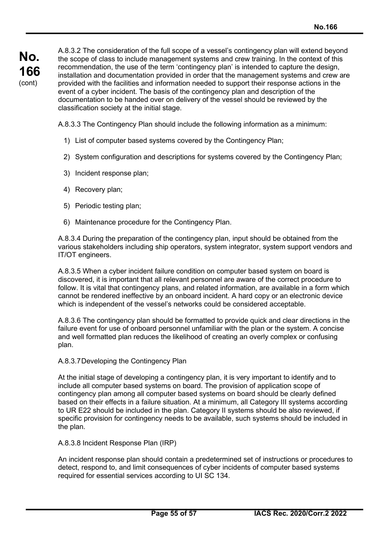A.8.3.2 The consideration of the full scope of a vessel's contingency plan will extend beyond the scope of class to include management systems and crew training. In the context of this recommendation, the use of the term 'contingency plan' is intended to capture the design, installation and documentation provided in order that the management systems and crew are provided with the facilities and information needed to support their response actions in the event of a cyber incident. The basis of the contingency plan and description of the documentation to be handed over on delivery of the vessel should be reviewed by the classification society at the initial stage.

A.8.3.3 The Contingency Plan should include the following information as a minimum:

- 1) List of computer based systems covered by the Contingency Plan;
- 2) System configuration and descriptions for systems covered by the Contingency Plan;
- 3) Incident response plan;
- 4) Recovery plan;
- 5) Periodic testing plan;
- 6) Maintenance procedure for the Contingency Plan.

A.8.3.4 During the preparation of the contingency plan, input should be obtained from the various stakeholders including ship operators, system integrator, system support vendors and IT/OT engineers.

A.8.3.5 When a cyber incident failure condition on computer based system on board is discovered, it is important that all relevant personnel are aware of the correct procedure to follow. It is vital that contingency plans, and related information, are available in a form which cannot be rendered ineffective by an onboard incident. A hard copy or an electronic device which is independent of the vessel's networks could be considered acceptable.

A.8.3.6 The contingency plan should be formatted to provide quick and clear directions in the failure event for use of onboard personnel unfamiliar with the plan or the system. A concise and well formatted plan reduces the likelihood of creating an overly complex or confusing plan.

#### A.8.3.7Developing the Contingency Plan

At the initial stage of developing a contingency plan, it is very important to identify and to include all computer based systems on board. The provision of application scope of contingency plan among all computer based systems on board should be clearly defined based on their effects in a failure situation. At a minimum, all Category III systems according to UR E22 should be included in the plan. Category II systems should be also reviewed, if specific provision for contingency needs to be available, such systems should be included in the plan.

#### A.8.3.8 Incident Response Plan (IRP)

An incident response plan should contain a predetermined set of instructions or procedures to detect, respond to, and limit consequences of cyber incidents of computer based systems required for essential services according to UI SC 134.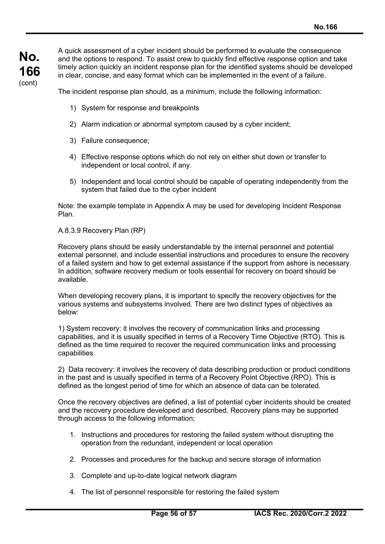A quick assessment of a cyber incident should be performed to evaluate the consequence and the options to respond. To assist crew to quickly find effective response option and take timely action quickly an incident response plan for the identified systems should be developed in clear, concise, and easy format which can be implemented in the event of a failure.

The incident response plan should, as a minimum, include the following information:

- 1) System for response and breakpoints
- 2) Alarm indication or abnormal symptom caused by a cyber incident;
- 3) Failure consequence;
- 4) Effective response options which do not rely on either shut down or transfer to independent or local control, if any.
- 5) Independent and local control should be capable of operating independently from the system that failed due to the cyber incident

Note: the example template in Appendix A may be used for developing Incident Response Plan.

#### A.8.3.9 Recovery Plan (RP)

Recovery plans should be easily understandable by the internal personnel and potential external personnel, and include essential instructions and procedures to ensure the recovery of a failed system and how to get external assistance if the support from ashore is necessary. In addition, software recovery medium or tools essential for recovery on board should be available.

When developing recovery plans, it is important to specify the recovery objectives for the various systems and subsystems involved. There are two distinct types of objectives as below:

1) System recovery: it involves the recovery of communication links and processing capabilities, and it is usually specified in terms of a Recovery Time Objective (RTO). This is defined as the time required to recover the required communication links and processing capabilities.

2) Data recovery: it involves the recovery of data describing production or product conditions in the past and is usually specified in terms of a Recovery Point Objective (RPO). This is defined as the longest period of time for which an absence of data can be tolerated.

Once the recovery objectives are defined, a list of potential cyber incidents should be created and the recovery procedure developed and described. Recovery plans may be supported through access to the following information;

- 1. Instructions and procedures for restoring the failed system without disrupting the operation from the redundant, independent or local operation
- 2. Processes and procedures for the backup and secure storage of information
- 3. Complete and up-to-date logical network diagram
- 4. The list of personnel responsible for restoring the failed system